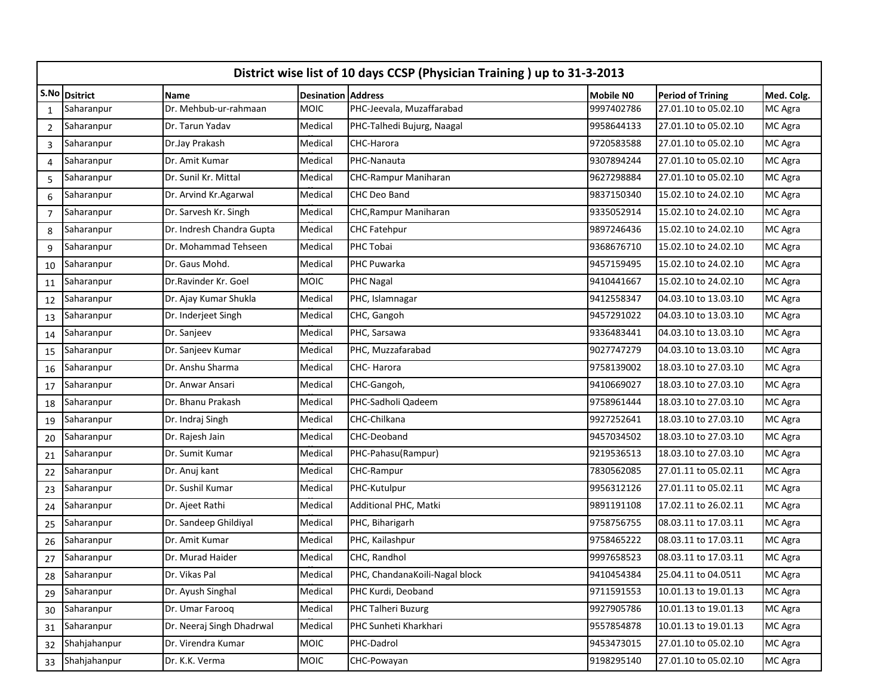|                | District wise list of 10 days CCSP (Physician Training) up to 31-3-2013 |                           |                           |                                |                  |                          |            |  |  |  |  |  |
|----------------|-------------------------------------------------------------------------|---------------------------|---------------------------|--------------------------------|------------------|--------------------------|------------|--|--|--|--|--|
|                | S.No Dsitrict                                                           | <b>Name</b>               | <b>Desination Address</b> |                                | <b>Mobile NO</b> | <b>Period of Trining</b> | Med. Colg. |  |  |  |  |  |
| $\mathbf{1}$   | Saharanpur                                                              | Dr. Mehbub-ur-rahmaan     | <b>MOIC</b>               | PHC-Jeevala, Muzaffarabad      | 9997402786       | 27.01.10 to 05.02.10     | MC Agra    |  |  |  |  |  |
| $\overline{2}$ | Saharanpur                                                              | Dr. Tarun Yadav           | Medical                   | PHC-Talhedi Bujurg, Naagal     | 9958644133       | 27.01.10 to 05.02.10     | MC Agra    |  |  |  |  |  |
| 3              | Saharanpur                                                              | Dr.Jay Prakash            | Medical                   | CHC-Harora                     | 9720583588       | 27.01.10 to 05.02.10     | MC Agra    |  |  |  |  |  |
| 4              | Saharanpur                                                              | Dr. Amit Kumar            | Medical                   | PHC-Nanauta                    | 9307894244       | 27.01.10 to 05.02.10     | MC Agra    |  |  |  |  |  |
| 5              | Saharanpur                                                              | Dr. Sunil Kr. Mittal      | Medical                   | <b>CHC-Rampur Maniharan</b>    | 9627298884       | 27.01.10 to 05.02.10     | MC Agra    |  |  |  |  |  |
| 6              | Saharanpur                                                              | Dr. Arvind Kr. Agarwal    | Medical                   | CHC Deo Band                   | 9837150340       | 15.02.10 to 24.02.10     | MC Agra    |  |  |  |  |  |
| $\overline{7}$ | Saharanpur                                                              | Dr. Sarvesh Kr. Singh     | Medical                   | CHC, Rampur Maniharan          | 9335052914       | 15.02.10 to 24.02.10     | MC Agra    |  |  |  |  |  |
| 8              | Saharanpur                                                              | Dr. Indresh Chandra Gupta | Medical                   | <b>CHC Fatehpur</b>            | 9897246436       | 15.02.10 to 24.02.10     | MC Agra    |  |  |  |  |  |
| 9              | Saharanpur                                                              | Dr. Mohammad Tehseen      | Medical                   | PHC Tobai                      | 9368676710       | 15.02.10 to 24.02.10     | MC Agra    |  |  |  |  |  |
| 10             | Saharanpur                                                              | Dr. Gaus Mohd.            | Medical                   | PHC Puwarka                    | 9457159495       | 15.02.10 to 24.02.10     | MC Agra    |  |  |  |  |  |
| 11             | Saharanpur                                                              | Dr.Ravinder Kr. Goel      | <b>MOIC</b>               | PHC Nagal                      | 9410441667       | 15.02.10 to 24.02.10     | MC Agra    |  |  |  |  |  |
| 12             | Saharanpur                                                              | Dr. Ajay Kumar Shukla     | Medical                   | PHC, Islamnagar                | 9412558347       | 04.03.10 to 13.03.10     | MC Agra    |  |  |  |  |  |
| 13             | Saharanpur                                                              | Dr. Inderjeet Singh       | Medical                   | CHC, Gangoh                    | 9457291022       | 04.03.10 to 13.03.10     | MC Agra    |  |  |  |  |  |
| 14             | Saharanpur                                                              | Dr. Sanjeev               | Medical                   | PHC, Sarsawa                   | 9336483441       | 04.03.10 to 13.03.10     | MC Agra    |  |  |  |  |  |
| 15             | Saharanpur                                                              | Dr. Sanjeev Kumar         | Medical                   | PHC, Muzzafarabad              | 9027747279       | 04.03.10 to 13.03.10     | MC Agra    |  |  |  |  |  |
| 16             | Saharanpur                                                              | Dr. Anshu Sharma          | Medical                   | CHC-Harora                     | 9758139002       | 18.03.10 to 27.03.10     | MC Agra    |  |  |  |  |  |
| 17             | Saharanpur                                                              | Dr. Anwar Ansari          | Medical                   | CHC-Gangoh,                    | 9410669027       | 18.03.10 to 27.03.10     | MC Agra    |  |  |  |  |  |
| 18             | Saharanpur                                                              | Dr. Bhanu Prakash         | Medical                   | PHC-Sadholi Qadeem             | 9758961444       | 18.03.10 to 27.03.10     | MC Agra    |  |  |  |  |  |
| 19             | Saharanpur                                                              | Dr. Indraj Singh          | Medical                   | CHC-Chilkana                   | 9927252641       | 18.03.10 to 27.03.10     | MC Agra    |  |  |  |  |  |
| 20             | Saharanpur                                                              | Dr. Rajesh Jain           | Medical                   | CHC-Deoband                    | 9457034502       | 18.03.10 to 27.03.10     | MC Agra    |  |  |  |  |  |
| 21             | Saharanpur                                                              | Dr. Sumit Kumar           | Medical                   | PHC-Pahasu(Rampur)             | 9219536513       | 18.03.10 to 27.03.10     | MC Agra    |  |  |  |  |  |
| 22             | Saharanpur                                                              | Dr. Anuj kant             | Medical                   | CHC-Rampur                     | 7830562085       | 27.01.11 to 05.02.11     | MC Agra    |  |  |  |  |  |
| 23             | Saharanpur                                                              | Dr. Sushil Kumar          | Medical                   | PHC-Kutulpur                   | 9956312126       | 27.01.11 to 05.02.11     | MC Agra    |  |  |  |  |  |
| 24             | Saharanpur                                                              | Dr. Ajeet Rathi           | Medical                   | Additional PHC, Matki          | 9891191108       | 17.02.11 to 26.02.11     | MC Agra    |  |  |  |  |  |
| 25             | Saharanpur                                                              | Dr. Sandeep Ghildiyal     | Medical                   | PHC, Biharigarh                | 9758756755       | 08.03.11 to 17.03.11     | MC Agra    |  |  |  |  |  |
| 26             | Saharanpur                                                              | Dr. Amit Kumar            | Medical                   | PHC, Kailashpur                | 9758465222       | 08.03.11 to 17.03.11     | MC Agra    |  |  |  |  |  |
| 27             | Saharanpur                                                              | Dr. Murad Haider          | Medical                   | CHC, Randhol                   | 9997658523       | 08.03.11 to 17.03.11     | MC Agra    |  |  |  |  |  |
| 28             | Saharanpur                                                              | Dr. Vikas Pal             | Medical                   | PHC, ChandanaKoili-Nagal block | 9410454384       | 25.04.11 to 04.0511      | MC Agra    |  |  |  |  |  |
| 29             | Saharanpur                                                              | Dr. Ayush Singhal         | Medical                   | PHC Kurdi, Deoband             | 9711591553       | 10.01.13 to 19.01.13     | MC Agra    |  |  |  |  |  |
| 30             | Saharanpur                                                              | Dr. Umar Farooq           | Medical                   | PHC Talheri Buzurg             | 9927905786       | 10.01.13 to 19.01.13     | MC Agra    |  |  |  |  |  |
| 31             | Saharanpur                                                              | Dr. Neeraj Singh Dhadrwal | Medical                   | PHC Sunheti Kharkhari          | 9557854878       | 10.01.13 to 19.01.13     | MC Agra    |  |  |  |  |  |
| 32             | Shahjahanpur                                                            | Dr. Virendra Kumar        | MOIC                      | PHC-Dadrol                     | 9453473015       | 27.01.10 to 05.02.10     | MC Agra    |  |  |  |  |  |
| 33             | Shahjahanpur                                                            | Dr. K.K. Verma            | <b>MOIC</b>               | CHC-Powayan                    | 9198295140       | 27.01.10 to 05.02.10     | MC Agra    |  |  |  |  |  |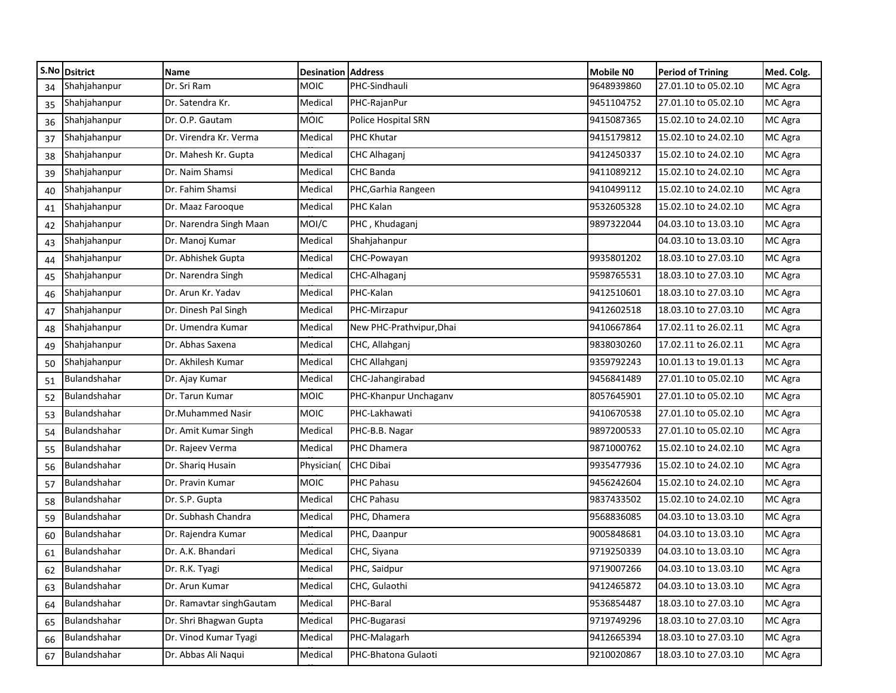|    | S.No Dsitrict | Name                     | <b>Desination Address</b> |                          | Mobile NO  | Period of Trining    | Med. Colg. |
|----|---------------|--------------------------|---------------------------|--------------------------|------------|----------------------|------------|
| 34 | Shahjahanpur  | Dr. Sri Ram              | <b>MOIC</b>               | PHC-Sindhauli            | 9648939860 | 27.01.10 to 05.02.10 | MC Agra    |
| 35 | Shahjahanpur  | Dr. Satendra Kr.         | Medical                   | PHC-RajanPur             | 9451104752 | 27.01.10 to 05.02.10 | MC Agra    |
| 36 | Shahjahanpur  | Dr. O.P. Gautam          | <b>MOIC</b>               | Police Hospital SRN      | 9415087365 | 15.02.10 to 24.02.10 | MC Agra    |
| 37 | Shahjahanpur  | Dr. Virendra Kr. Verma   | Medical                   | PHC Khutar               | 9415179812 | 15.02.10 to 24.02.10 | MC Agra    |
| 38 | Shahjahanpur  | Dr. Mahesh Kr. Gupta     | Medical                   | CHC Alhaganj             | 9412450337 | 15.02.10 to 24.02.10 | MC Agra    |
| 39 | Shahjahanpur  | Dr. Naim Shamsi          | Medical                   | <b>CHC Banda</b>         | 9411089212 | 15.02.10 to 24.02.10 | MC Agra    |
| 40 | Shahjahanpur  | Dr. Fahim Shamsi         | Medical                   | PHC, Garhia Rangeen      | 9410499112 | 15.02.10 to 24.02.10 | MC Agra    |
| 41 | Shahjahanpur  | Dr. Maaz Farooque        | Medical                   | PHC Kalan                | 9532605328 | 15.02.10 to 24.02.10 | MC Agra    |
| 42 | Shahjahanpur  | Dr. Narendra Singh Maan  | MOI/C                     | PHC, Khudaganj           | 9897322044 | 04.03.10 to 13.03.10 | MC Agra    |
| 43 | Shahjahanpur  | Dr. Manoj Kumar          | Medical                   | Shahjahanpur             |            | 04.03.10 to 13.03.10 | MC Agra    |
| 44 | Shahjahanpur  | Dr. Abhishek Gupta       | Medical                   | CHC-Powayan              | 9935801202 | 18.03.10 to 27.03.10 | MC Agra    |
| 45 | Shahjahanpur  | Dr. Narendra Singh       | Medical                   | CHC-Alhaganj             | 9598765531 | 18.03.10 to 27.03.10 | MC Agra    |
| 46 | Shahjahanpur  | Dr. Arun Kr. Yadav       | Medical                   | PHC-Kalan                | 9412510601 | 18.03.10 to 27.03.10 | MC Agra    |
| 47 | Shahjahanpur  | Dr. Dinesh Pal Singh     | Medical                   | PHC-Mirzapur             | 9412602518 | 18.03.10 to 27.03.10 | MC Agra    |
| 48 | Shahjahanpur  | Dr. Umendra Kumar        | Medical                   | New PHC-Prathvipur, Dhai | 9410667864 | 17.02.11 to 26.02.11 | MC Agra    |
| 49 | Shahjahanpur  | Dr. Abhas Saxena         | Medical                   | CHC, Allahganj           | 9838030260 | 17.02.11 to 26.02.11 | MC Agra    |
| 50 | Shahjahanpur  | Dr. Akhilesh Kumar       | Medical                   | CHC Allahganj            | 9359792243 | 10.01.13 to 19.01.13 | MC Agra    |
| 51 | Bulandshahar  | Dr. Ajay Kumar           | Medical                   | CHC-Jahangirabad         | 9456841489 | 27.01.10 to 05.02.10 | MC Agra    |
| 52 | Bulandshahar  | Dr. Tarun Kumar          | <b>MOIC</b>               | PHC-Khanpur Unchaganv    | 8057645901 | 27.01.10 to 05.02.10 | MC Agra    |
| 53 | Bulandshahar  | Dr.Muhammed Nasir        | <b>MOIC</b>               | PHC-Lakhawati            | 9410670538 | 27.01.10 to 05.02.10 | MC Agra    |
| 54 | Bulandshahar  | Dr. Amit Kumar Singh     | Medical                   | PHC-B.B. Nagar           | 9897200533 | 27.01.10 to 05.02.10 | MC Agra    |
| 55 | Bulandshahar  | Dr. Rajeev Verma         | Medical                   | PHC Dhamera              | 9871000762 | 15.02.10 to 24.02.10 | MC Agra    |
| 56 | Bulandshahar  | Dr. Shariq Husain        | Physician(                | <b>CHC Dibai</b>         | 9935477936 | 15.02.10 to 24.02.10 | MC Agra    |
| 57 | Bulandshahar  | Dr. Pravin Kumar         | <b>MOIC</b>               | PHC Pahasu               | 9456242604 | 15.02.10 to 24.02.10 | MC Agra    |
| 58 | Bulandshahar  | Dr. S.P. Gupta           | Medical                   | <b>CHC Pahasu</b>        | 9837433502 | 15.02.10 to 24.02.10 | MC Agra    |
| 59 | Bulandshahar  | Dr. Subhash Chandra      | Medical                   | PHC, Dhamera             | 9568836085 | 04.03.10 to 13.03.10 | MC Agra    |
| 60 | Bulandshahar  | Dr. Rajendra Kumar       | Medical                   | PHC, Daanpur             | 9005848681 | 04.03.10 to 13.03.10 | MC Agra    |
| 61 | Bulandshahar  | Dr. A.K. Bhandari        | Medical                   | CHC, Siyana              | 9719250339 | 04.03.10 to 13.03.10 | MC Agra    |
|    | Bulandshahar  | Dr. R.K. Tyagi           | Medical                   | PHC, Saidpur             | 9719007266 | 04.03.10 to 13.03.10 | MC Agra    |
| 63 | Bulandshahar  | Dr. Arun Kumar           | Medical                   | CHC, Gulaothi            | 9412465872 | 04.03.10 to 13.03.10 | MC Agra    |
| 64 | Bulandshahar  | Dr. Ramavtar singhGautam | Medical                   | PHC-Baral                | 9536854487 | 18.03.10 to 27.03.10 | MC Agra    |
| 65 | Bulandshahar  | Dr. Shri Bhagwan Gupta   | Medical                   | PHC-Bugarasi             | 9719749296 | 18.03.10 to 27.03.10 | MC Agra    |
| 66 | Bulandshahar  | Dr. Vinod Kumar Tyagi    | Medical                   | PHC-Malagarh             | 9412665394 | 18.03.10 to 27.03.10 | MC Agra    |
| 67 | Bulandshahar  | Dr. Abbas Ali Naqui      | Medical                   | PHC-Bhatona Gulaoti      | 9210020867 | 18.03.10 to 27.03.10 | MC Agra    |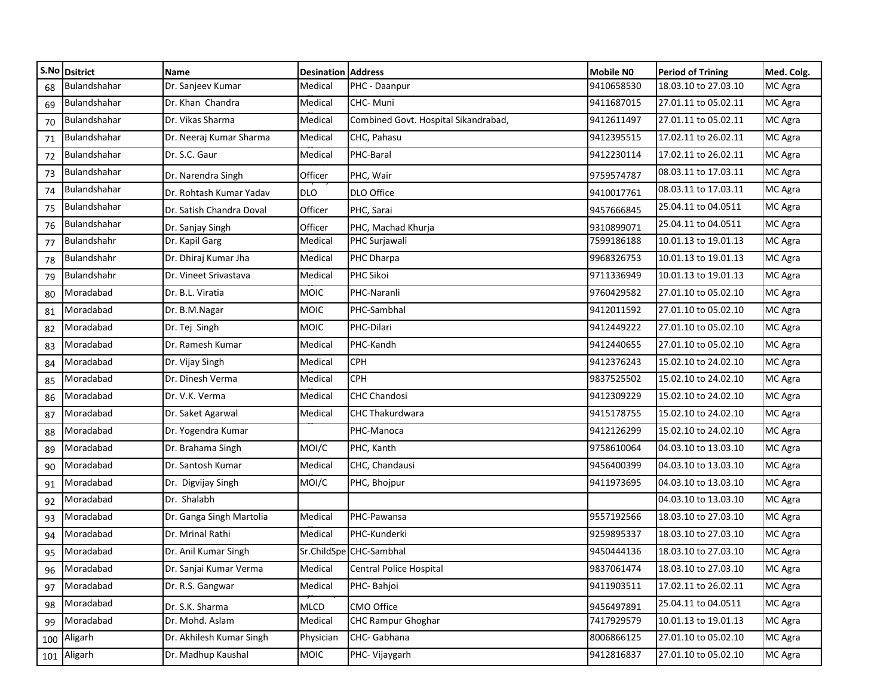|     | S.No Dsitrict | Name                     | <b>Desination Address</b> |                                      | Mobile NO  | Period of Trining    | Med. Colg. |
|-----|---------------|--------------------------|---------------------------|--------------------------------------|------------|----------------------|------------|
| 68  | Bulandshahar  | Dr. Sanjeev Kumar        | Medical                   | PHC - Daanpur                        | 9410658530 | 18.03.10 to 27.03.10 | MC Agra    |
| 69  | Bulandshahar  | Dr. Khan Chandra         | Medical                   | CHC-Muni                             | 9411687015 | 27.01.11 to 05.02.11 | MC Agra    |
| 70  | Bulandshahar  | Dr. Vikas Sharma         | Medical                   | Combined Govt. Hospital Sikandrabad, | 9412611497 | 27.01.11 to 05.02.11 | MC Agra    |
| 71  | Bulandshahar  | Dr. Neeraj Kumar Sharma  | Medical                   | CHC, Pahasu                          | 9412395515 | 17.02.11 to 26.02.11 | MC Agra    |
| 72  | Bulandshahar  | Dr. S.C. Gaur            | Medical                   | PHC-Baral                            | 9412230114 | 17.02.11 to 26.02.11 | MC Agra    |
| 73  | Bulandshahar  | Dr. Narendra Singh       | Officer                   | PHC, Wair                            | 9759574787 | 08.03.11 to 17.03.11 | MC Agra    |
| 74  | Bulandshahar  | Dr. Rohtash Kumar Yadav  | <b>DLO</b>                | DLO Office                           | 9410017761 | 08.03.11 to 17.03.11 | MC Agra    |
| 75  | Bulandshahar  | Dr. Satish Chandra Doval | Officer                   | PHC, Sarai                           | 9457666845 | 25.04.11 to 04.0511  | MC Agra    |
| 76  | Bulandshahar  | Dr. Sanjay Singh         | Officer                   | PHC, Machad Khurja                   | 9310899071 | 25.04.11 to 04.0511  | MC Agra    |
| 77  | Bulandshahr   | Dr. Kapil Garg           | Medical                   | PHC Surjawali                        | 7599186188 | 10.01.13 to 19.01.13 | MC Agra    |
| 78  | Bulandshahr   | Dr. Dhiraj Kumar Jha     | Medical                   | PHC Dharpa                           | 9968326753 | 10.01.13 to 19.01.13 | MC Agra    |
| 79  | Bulandshahr   | Dr. Vineet Srivastava    | Medical                   | PHC Sikoi                            | 9711336949 | 10.01.13 to 19.01.13 | MC Agra    |
| 80  | Moradabad     | Dr. B.L. Viratia         | <b>MOIC</b>               | PHC-Naranli                          | 9760429582 | 27.01.10 to 05.02.10 | MC Agra    |
| 81  | Moradabad     | Dr. B.M.Nagar            | <b>MOIC</b>               | PHC-Sambhal                          | 9412011592 | 27.01.10 to 05.02.10 | MC Agra    |
| 82  | Moradabad     | Dr. Tej Singh            | <b>MOIC</b>               | PHC-Dilari                           | 9412449222 | 27.01.10 to 05.02.10 | MC Agra    |
| 83  | Moradabad     | Dr. Ramesh Kumar         | Medical                   | PHC-Kandh                            | 9412440655 | 27.01.10 to 05.02.10 | MC Agra    |
| 84  | Moradabad     | Dr. Vijay Singh          | Medical                   | <b>CPH</b>                           | 9412376243 | 15.02.10 to 24.02.10 | MC Agra    |
| 85  | Moradabad     | Dr. Dinesh Verma         | Medical                   | <b>CPH</b>                           | 9837525502 | 15.02.10 to 24.02.10 | MC Agra    |
| 86  | Moradabad     | Dr. V.K. Verma           | Medical                   | <b>CHC Chandosi</b>                  | 9412309229 | 15.02.10 to 24.02.10 | MC Agra    |
| 87  | Moradabad     | Dr. Saket Agarwal        | Medical                   | <b>CHC Thakurdwara</b>               | 9415178755 | 15.02.10 to 24.02.10 | MC Agra    |
| 88  | Moradabad     | Dr. Yogendra Kumar       |                           | PHC-Manoca                           | 9412126299 | 15.02.10 to 24.02.10 | MC Agra    |
| 89  | Moradabad     | Dr. Brahama Singh        | MOI/C                     | PHC, Kanth                           | 9758610064 | 04.03.10 to 13.03.10 | MC Agra    |
| 90  | Moradabad     | Dr. Santosh Kumar        | Medical                   | CHC, Chandausi                       | 9456400399 | 04.03.10 to 13.03.10 | MC Agra    |
| 91  | Moradabad     | Dr. Digvijay Singh       | MOI/C                     | PHC, Bhojpur                         | 9411973695 | 04.03.10 to 13.03.10 | MC Agra    |
| 92  | Moradabad     | Dr. Shalabh              |                           |                                      |            | 04.03.10 to 13.03.10 | MC Agra    |
| 93  | Moradabad     | Dr. Ganga Singh Martolia | Medical                   | PHC-Pawansa                          | 9557192566 | 18.03.10 to 27.03.10 | MC Agra    |
| 94  | Moradabad     | Dr. Mrinal Rathi         | Medical                   | PHC-Kunderki                         | 9259895337 | 18.03.10 to 27.03.10 | MC Agra    |
| 95  | Moradabad     | Dr. Anil Kumar Singh     |                           | Sr.ChildSpe CHC-Sambhal              | 9450444136 | 18.03.10 to 27.03.10 | MC Agra    |
|     | Moradabad     | Dr. Sanjai Kumar Verma   |                           | Medical Central Police Hospital      | 9837061474 | 18.03.10 to 27.03.10 | MC Agra    |
| 97  | Moradabad     | Dr. R.S. Gangwar         | Medical                   | PHC-Bahjoi                           | 9411903511 | 17.02.11 to 26.02.11 | MC Agra    |
| 98  | Moradabad     | Dr. S.K. Sharma          | <b>MLCD</b>               | CMO Office                           | 9456497891 | 25.04.11 to 04.0511  | MC Agra    |
| 99  | Moradabad     | Dr. Mohd. Aslam          | Medical                   | <b>CHC Rampur Ghoghar</b>            | 7417929579 | 10.01.13 to 19.01.13 | MC Agra    |
| 100 | Aligarh       | Dr. Akhilesh Kumar Singh | Physician                 | CHC-Gabhana                          | 8006866125 | 27.01.10 to 05.02.10 | MC Agra    |
|     | 101 Aligarh   | Dr. Madhup Kaushal       | <b>MOIC</b>               | PHC- Vijaygarh                       | 9412816837 | 27.01.10 to 05.02.10 | MC Agra    |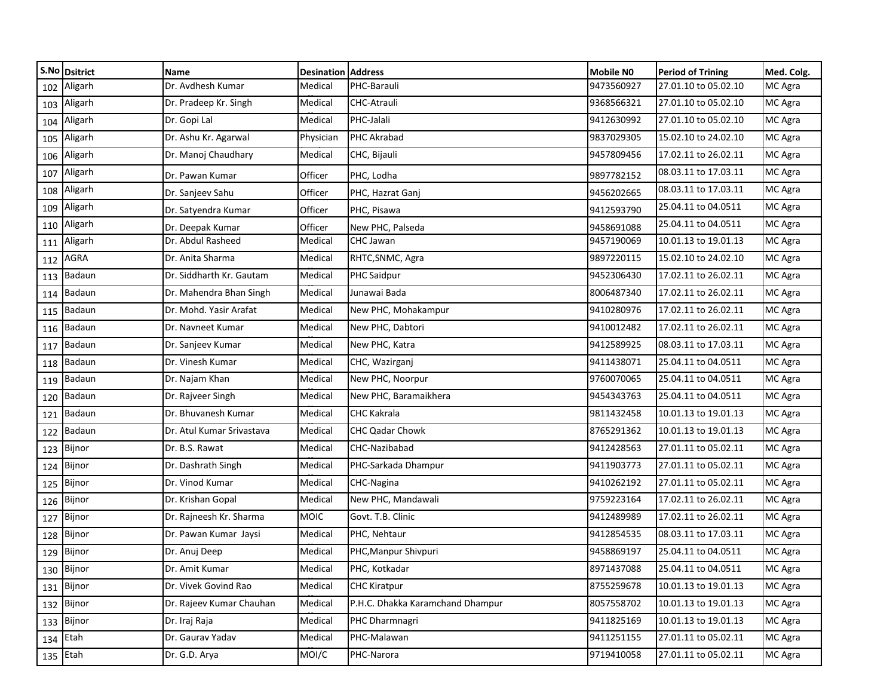|     | S.No Dsitrict | Name                      | <b>Desination Address</b> |                                  | <b>Mobile NO</b> | <b>Period of Trining</b> | Med. Colg. |
|-----|---------------|---------------------------|---------------------------|----------------------------------|------------------|--------------------------|------------|
| 102 | Aligarh       | Dr. Avdhesh Kumar         | Medical                   | PHC-Barauli                      | 9473560927       | 27.01.10 to 05.02.10     | MC Agra    |
| 103 | Aligarh       | Dr. Pradeep Kr. Singh     | Medical                   | CHC-Atrauli                      | 9368566321       | 27.01.10 to 05.02.10     | MC Agra    |
| 104 | Aligarh       | Dr. Gopi Lal              | Medical                   | PHC-Jalali                       | 9412630992       | 27.01.10 to 05.02.10     | MC Agra    |
| 105 | Aligarh       | Dr. Ashu Kr. Agarwal      | Physician                 | PHC Akrabad                      | 9837029305       | 15.02.10 to 24.02.10     | MC Agra    |
| 106 | Aligarh       | Dr. Manoj Chaudhary       | Medical                   | CHC, Bijauli                     | 9457809456       | 17.02.11 to 26.02.11     | MC Agra    |
| 107 | Aligarh       | Dr. Pawan Kumar           | Officer                   | PHC, Lodha                       | 9897782152       | 08.03.11 to 17.03.11     | MC Agra    |
| 108 | Aligarh       | Dr. Sanjeev Sahu          | Officer                   | PHC, Hazrat Ganj                 | 9456202665       | 08.03.11 to 17.03.11     | MC Agra    |
| 109 | Aligarh       | Dr. Satyendra Kumar       | Officer                   | PHC, Pisawa                      | 9412593790       | 25.04.11 to 04.0511      | MC Agra    |
| 110 | Aligarh       | Dr. Deepak Kumar          | Officer                   | New PHC, Palseda                 | 9458691088       | 25.04.11 to 04.0511      | MC Agra    |
| 111 | Aligarh       | Dr. Abdul Rasheed         | Medical                   | CHC Jawan                        | 9457190069       | 10.01.13 to 19.01.13     | MC Agra    |
| 112 | AGRA          | Dr. Anita Sharma          | Medical                   | RHTC, SNMC, Agra                 | 9897220115       | 15.02.10 to 24.02.10     | MC Agra    |
| 113 | Badaun        | Dr. Siddharth Kr. Gautam  | Medical                   | <b>PHC Saidpur</b>               | 9452306430       | 17.02.11 to 26.02.11     | MC Agra    |
| 114 | Badaun        | Dr. Mahendra Bhan Singh   | Medical                   | Junawai Bada                     | 8006487340       | 17.02.11 to 26.02.11     | MC Agra    |
| 115 | Badaun        | Dr. Mohd. Yasir Arafat    | Medical                   | New PHC, Mohakampur              | 9410280976       | 17.02.11 to 26.02.11     | MC Agra    |
| 116 | Badaun        | Dr. Navneet Kumar         | Medical                   | New PHC, Dabtori                 | 9410012482       | 17.02.11 to 26.02.11     | MC Agra    |
| 117 | Badaun        | Dr. Sanjeev Kumar         | Medical                   | New PHC, Katra                   | 9412589925       | 08.03.11 to 17.03.11     | MC Agra    |
| 118 | Badaun        | Dr. Vinesh Kumar          | Medical                   | CHC, Wazirganj                   | 9411438071       | 25.04.11 to 04.0511      | MC Agra    |
| 119 | Badaun        | Dr. Najam Khan            | Medical                   | New PHC, Noorpur                 | 9760070065       | 25.04.11 to 04.0511      | MC Agra    |
| 120 | Badaun        | Dr. Rajveer Singh         | Medical                   | New PHC, Baramaikhera            | 9454343763       | 25.04.11 to 04.0511      | MC Agra    |
| 121 | Badaun        | Dr. Bhuvanesh Kumar       | Medical                   | CHC Kakrala                      | 9811432458       | 10.01.13 to 19.01.13     | MC Agra    |
| 122 | Badaun        | Dr. Atul Kumar Srivastava | Medical                   | CHC Qadar Chowk                  | 8765291362       | 10.01.13 to 19.01.13     | MC Agra    |
| 123 | Bijnor        | Dr. B.S. Rawat            | Medical                   | CHC-Nazibabad                    | 9412428563       | 27.01.11 to 05.02.11     | MC Agra    |
| 124 | Bijnor        | Dr. Dashrath Singh        | Medical                   | PHC-Sarkada Dhampur              | 9411903773       | 27.01.11 to 05.02.11     | MC Agra    |
| 125 | Bijnor        | Dr. Vinod Kumar           | Medical                   | CHC-Nagina                       | 9410262192       | 27.01.11 to 05.02.11     | MC Agra    |
| 126 | Bijnor        | Dr. Krishan Gopal         | Medical                   | New PHC, Mandawali               | 9759223164       | 17.02.11 to 26.02.11     | MC Agra    |
| 127 | Bijnor        | Dr. Rajneesh Kr. Sharma   | <b>MOIC</b>               | Govt. T.B. Clinic                | 9412489989       | 17.02.11 to 26.02.11     | MC Agra    |
| 128 | Bijnor        | Dr. Pawan Kumar Jaysi     | Medical                   | PHC, Nehtaur                     | 9412854535       | 08.03.11 to 17.03.11     | MC Agra    |
| 129 | Bijnor        | Dr. Anuj Deep             | Medical                   | PHC, Manpur Shivpuri             | 9458869197       | 25.04.11 to 04.0511      | MC Agra    |
|     | 130 Bijnor    | Dr. Amit Kumar            | Medical                   | PHC, Kotkadar                    | 8971437088       | 25.04.11 to 04.0511      | MC Agra    |
|     | 131 Bijnor    | Dr. Vivek Govind Rao      | Medical                   | <b>CHC Kiratpur</b>              | 8755259678       | 10.01.13 to 19.01.13     | MC Agra    |
|     | 132 Bijnor    | Dr. Rajeev Kumar Chauhan  | Medical                   | P.H.C. Dhakka Karamchand Dhampur | 8057558702       | 10.01.13 to 19.01.13     | MC Agra    |
|     | 133 Bijnor    | Dr. Iraj Raja             | Medical                   | PHC Dharmnagri                   | 9411825169       | 10.01.13 to 19.01.13     | MC Agra    |
|     | $134$ Etah    | Dr. Gaurav Yadav          | Medical                   | PHC-Malawan                      | 9411251155       | 27.01.11 to 05.02.11     | MC Agra    |
|     | $135$ Etah    | Dr. G.D. Arya             | MOI/C                     | PHC-Narora                       | 9719410058       | 27.01.11 to 05.02.11     | MC Agra    |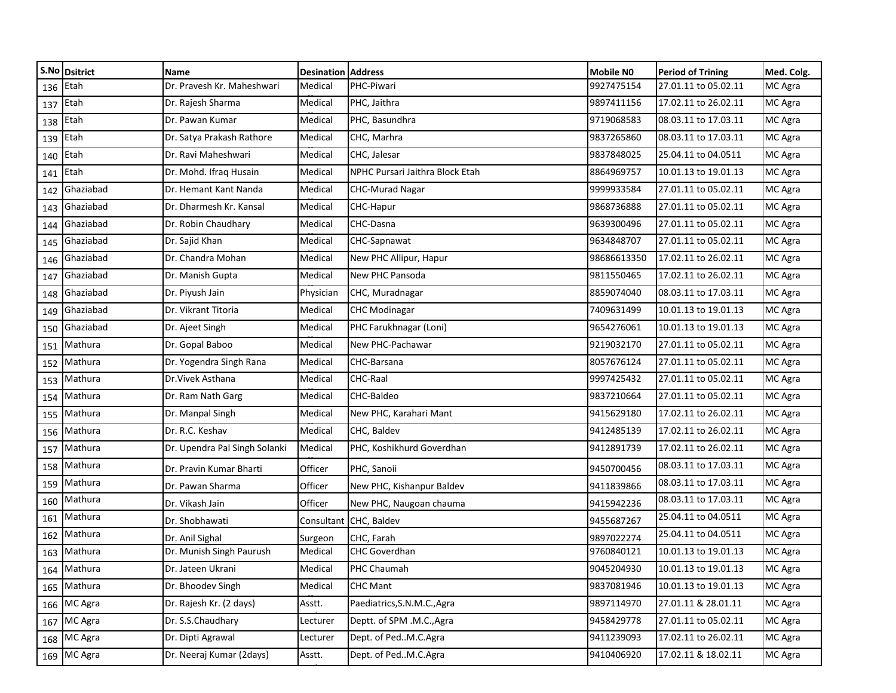|            | S.No Dsitrict | Name                          | <b>Desination</b> | <b>Address</b>                  | <b>Mobile NO</b> | <b>Period of Trining</b> | Med. Colg. |
|------------|---------------|-------------------------------|-------------------|---------------------------------|------------------|--------------------------|------------|
| 136 Etah   |               | Dr. Pravesh Kr. Maheshwari    | Medical           | PHC-Piwari                      | 9927475154       | 27.01.11 to 05.02.11     | MC Agra    |
| $137$ Etah |               | Dr. Rajesh Sharma             | Medical           | PHC, Jaithra                    | 9897411156       | 17.02.11 to 26.02.11     | MC Agra    |
| 138        | Etah          | Dr. Pawan Kumar               | Medical           | PHC, Basundhra                  | 9719068583       | 08.03.11 to 17.03.11     | MC Agra    |
| 139        | Etah          | Dr. Satya Prakash Rathore     | Medical           | CHC, Marhra                     | 9837265860       | 08.03.11 to 17.03.11     | MC Agra    |
| 140        | Etah          | Dr. Ravi Maheshwari           | Medical           | CHC, Jalesar                    | 9837848025       | 25.04.11 to 04.0511      | MC Agra    |
| 141        | Etah          | Dr. Mohd. Ifraq Husain        | Medical           | NPHC Pursari Jaithra Block Etah | 8864969757       | 10.01.13 to 19.01.13     | MC Agra    |
| 142        | Ghaziabad     | Dr. Hemant Kant Nanda         | Medical           | <b>CHC-Murad Nagar</b>          | 9999933584       | 27.01.11 to 05.02.11     | MC Agra    |
| 143        | Ghaziabad     | Dr. Dharmesh Kr. Kansal       | Medical           | CHC-Hapur                       | 9868736888       | 27.01.11 to 05.02.11     | MC Agra    |
| 144        | Ghaziabad     | Dr. Robin Chaudhary           | Medical           | CHC-Dasna                       | 9639300496       | 27.01.11 to 05.02.11     | MC Agra    |
| 145        | Ghaziabad     | Dr. Sajid Khan                | Medical           | CHC-Sapnawat                    | 9634848707       | 27.01.11 to 05.02.11     | MC Agra    |
| 146        | Ghaziabad     | Dr. Chandra Mohan             | Medical           | New PHC Allipur, Hapur          | 98686613350      | 17.02.11 to 26.02.11     | MC Agra    |
| 147        | Ghaziabad     | Dr. Manish Gupta              | Medical           | New PHC Pansoda                 | 9811550465       | 17.02.11 to 26.02.11     | MC Agra    |
| 148        | Ghaziabad     | Dr. Piyush Jain               | Physician         | CHC, Muradnagar                 | 8859074040       | 08.03.11 to 17.03.11     | MC Agra    |
| 149        | Ghaziabad     | Dr. Vikrant Titoria           | Medical           | <b>CHC Modinagar</b>            | 7409631499       | 10.01.13 to 19.01.13     | MC Agra    |
| 150        | Ghaziabad     | Dr. Ajeet Singh               | Medical           | PHC Farukhnagar (Loni)          | 9654276061       | 10.01.13 to 19.01.13     | MC Agra    |
| 151        | Mathura       | Dr. Gopal Baboo               | Medical           | New PHC-Pachawar                | 9219032170       | 27.01.11 to 05.02.11     | MC Agra    |
| 152        | Mathura       | Dr. Yogendra Singh Rana       | Medical           | CHC-Barsana                     | 8057676124       | 27.01.11 to 05.02.11     | MC Agra    |
| 153        | Mathura       | Dr. Vivek Asthana             | Medical           | CHC-Raal                        | 9997425432       | 27.01.11 to 05.02.11     | MC Agra    |
| 154        | Mathura       | Dr. Ram Nath Garg             | Medical           | CHC-Baldeo                      | 9837210664       | 27.01.11 to 05.02.11     | MC Agra    |
| 155        | Mathura       | Dr. Manpal Singh              | Medical           | New PHC, Karahari Mant          | 9415629180       | 17.02.11 to 26.02.11     | MC Agra    |
| 156        | Mathura       | Dr. R.C. Keshav               | Medical           | CHC, Baldev                     | 9412485139       | 17.02.11 to 26.02.11     | MC Agra    |
| 157        | Mathura       | Dr. Upendra Pal Singh Solanki | Medical           | PHC, Koshikhurd Goverdhan       | 9412891739       | 17.02.11 to 26.02.11     | MC Agra    |
| 158        | Mathura       | Dr. Pravin Kumar Bharti       | Officer           | PHC, Sanoii                     | 9450700456       | 08.03.11 to 17.03.11     | MC Agra    |
| 159        | Mathura       | Dr. Pawan Sharma              | Officer           | New PHC, Kishanpur Baldev       | 9411839866       | 08.03.11 to 17.03.11     | MC Agra    |
| 160        | Mathura       | Dr. Vikash Jain               | Officer           | New PHC, Naugoan chauma         | 9415942236       | 08.03.11 to 17.03.11     | MC Agra    |
| 161        | Mathura       | Dr. Shobhawati                | Consultant        | CHC, Baldev                     | 9455687267       | 25.04.11 to 04.0511      | MC Agra    |
| 162        | Mathura       | Dr. Anil Sighal               | Surgeon           | CHC, Farah                      | 9897022274       | 25.04.11 to 04.0511      | MC Agra    |
| 163        | Mathura       | Dr. Munish Singh Paurush      | Medical           | <b>CHC Goverdhan</b>            | 9760840121       | 10.01.13 to 19.01.13     | MC Agra    |
|            | 164 Mathura   | Dr. Jateen Ukrani             | Medical           | PHC Chaumah                     | 9045204930       | 10.01.13 to 19.01.13     | MC Agra    |
|            | 165 Mathura   | Dr. Bhoodev Singh             | Medical           | <b>CHC Mant</b>                 | 9837081946       | 10.01.13 to 19.01.13     | MC Agra    |
|            | 166 MC Agra   | Dr. Rajesh Kr. (2 days)       | Asstt.            | Paediatrics, S.N.M.C., Agra     | 9897114970       | 27.01.11 & 28.01.11      | MC Agra    |
|            | 167 MC Agra   | Dr. S.S.Chaudhary             | Lecturer          | Deptt. of SPM .M.C., Agra       | 9458429778       | 27.01.11 to 05.02.11     | MC Agra    |
| 168        | MC Agra       | Dr. Dipti Agrawal             | Lecturer          | Dept. of PedM.C.Agra            | 9411239093       | 17.02.11 to 26.02.11     | MC Agra    |
|            | 169 MC Agra   | Dr. Neeraj Kumar (2days)      | Asstt.            | Dept. of PedM.C.Agra            | 9410406920       | 17.02.11 & 18.02.11      | MC Agra    |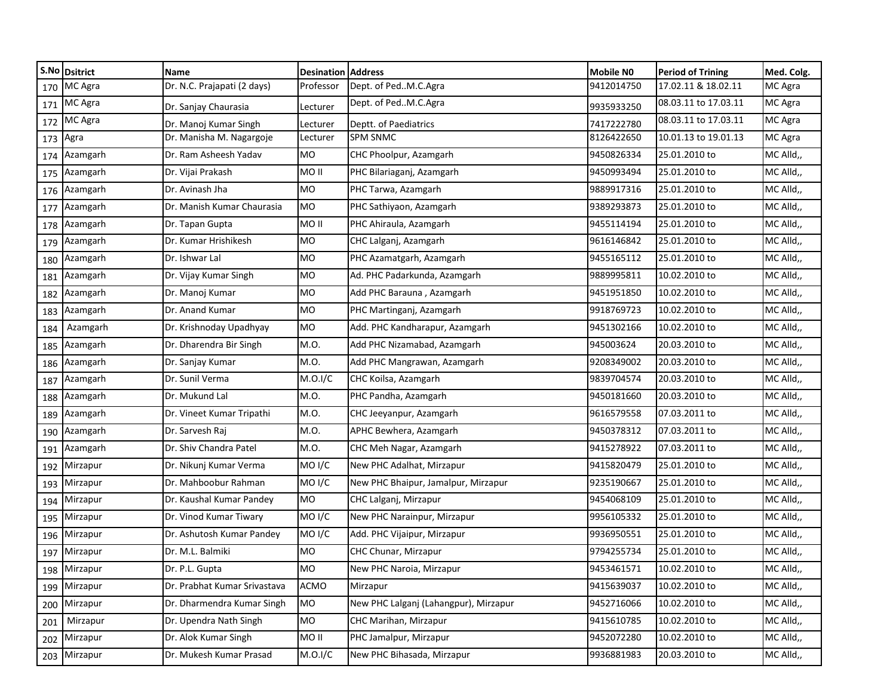|     | S.No Dsitrict | Name                         | <b>Desination</b>  | <b>Address</b>                        | <b>Mobile NO</b> | <b>Period of Trining</b> | Med. Colg. |
|-----|---------------|------------------------------|--------------------|---------------------------------------|------------------|--------------------------|------------|
|     | 170 MC Agra   | Dr. N.C. Prajapati (2 days)  | Professor          | Dept. of PedM.C.Agra                  | 9412014750       | 17.02.11 & 18.02.11      | MC Agra    |
|     | 171 MC Agra   | Dr. Sanjay Chaurasia         | Lecturer           | Dept. of PedM.C.Agra                  | 9935933250       | 08.03.11 to 17.03.11     | MC Agra    |
| 172 | MC Agra       | Dr. Manoj Kumar Singh        | Lecturer           | Deptt. of Paediatrics                 | 7417222780       | 08.03.11 to 17.03.11     | MC Agra    |
| 173 | Agra          | Dr. Manisha M. Nagargoje     | Lecturer           | <b>SPM SNMC</b>                       | 8126422650       | 10.01.13 to 19.01.13     | MC Agra    |
| 174 | Azamgarh      | Dr. Ram Asheesh Yadav        | <b>MO</b>          | CHC Phoolpur, Azamgarh                | 9450826334       | 25.01.2010 to            | MC Alld,,  |
| 175 | Azamgarh      | Dr. Vijai Prakash            | <b>MO II</b>       | PHC Bilariaganj, Azamgarh             | 9450993494       | 25.01.2010 to            | MC Alld,,  |
| 176 | Azamgarh      | Dr. Avinash Jha              | MO                 | PHC Tarwa, Azamgarh                   | 9889917316       | 25.01.2010 to            | MC Alld,,  |
| 177 | Azamgarh      | Dr. Manish Kumar Chaurasia   | <b>MO</b>          | PHC Sathiyaon, Azamgarh               | 9389293873       | 25.01.2010 to            | MC Alld,,  |
| 178 | Azamgarh      | Dr. Tapan Gupta              | MO II              | PHC Ahiraula, Azamgarh                | 9455114194       | 25.01.2010 to            | MC Alld,,  |
| 179 | Azamgarh      | Dr. Kumar Hrishikesh         | MO                 | CHC Lalganj, Azamgarh                 | 9616146842       | 25.01.2010 to            | MC Alld,,  |
| 180 | Azamgarh      | Dr. Ishwar Lal               | <b>MO</b>          | PHC Azamatgarh, Azamgarh              | 9455165112       | 25.01.2010 to            | MC Alld,,  |
| 181 | Azamgarh      | Dr. Vijay Kumar Singh        | <b>MO</b>          | Ad. PHC Padarkunda, Azamgarh          | 9889995811       | 10.02.2010 to            | MC Alld,,  |
| 182 | Azamgarh      | Dr. Manoj Kumar              | <b>MO</b>          | Add PHC Barauna, Azamgarh             | 9451951850       | 10.02.2010 to            | MC Alld,,  |
| 183 | Azamgarh      | Dr. Anand Kumar              | <b>MO</b>          | PHC Martinganj, Azamgarh              | 9918769723       | 10.02.2010 to            | MC Alld,,  |
| 184 | Azamgarh      | Dr. Krishnoday Upadhyay      | <b>MO</b>          | Add. PHC Kandharapur, Azamgarh        | 9451302166       | 10.02.2010 to            | MC Alld,,  |
| 185 | Azamgarh      | Dr. Dharendra Bir Singh      | M.O.               | Add PHC Nizamabad, Azamgarh           | 945003624        | 20.03.2010 to            | MC Alld,,  |
| 186 | Azamgarh      | Dr. Sanjay Kumar             | M.O.               | Add PHC Mangrawan, Azamgarh           | 9208349002       | 20.03.2010 to            | MC Alld,,  |
| 187 | Azamgarh      | Dr. Sunil Verma              | M.O.I/C            | CHC Koilsa, Azamgarh                  | 9839704574       | 20.03.2010 to            | MC Alld,,  |
| 188 | Azamgarh      | Dr. Mukund Lal               | M.O.               | PHC Pandha, Azamgarh                  | 9450181660       | 20.03.2010 to            | MC Alld,,  |
| 189 | Azamgarh      | Dr. Vineet Kumar Tripathi    | M.O.               | CHC Jeeyanpur, Azamgarh               | 9616579558       | 07.03.2011 to            | MC Alld,,  |
|     | 190 Azamgarh  | Dr. Sarvesh Raj              | M.O.               | APHC Bewhera, Azamgarh                | 9450378312       | 07.03.2011 to            | MC Alld,,  |
| 191 | Azamgarh      | Dr. Shiv Chandra Patel       | M.O.               | CHC Meh Nagar, Azamgarh               | 9415278922       | 07.03.2011 to            | MC Alld,,  |
|     | 192 Mirzapur  | Dr. Nikunj Kumar Verma       | MO <sub>I</sub> /C | New PHC Adalhat, Mirzapur             | 9415820479       | 25.01.2010 to            | MC Alld,,  |
|     | 193 Mirzapur  | Dr. Mahboobur Rahman         | MO <sub>I</sub> /C | New PHC Bhaipur, Jamalpur, Mirzapur   | 9235190667       | 25.01.2010 to            | MC Alld,,  |
| 194 | Mirzapur      | Dr. Kaushal Kumar Pandey     | <b>MO</b>          | CHC Lalganj, Mirzapur                 | 9454068109       | 25.01.2010 to            | MC Alld,,  |
| 195 | Mirzapur      | Dr. Vinod Kumar Tiwary       | MO <sub>I</sub> /C | New PHC Narainpur, Mirzapur           | 9956105332       | 25.01.2010 to            | MC Alld,,  |
| 196 | Mirzapur      | Dr. Ashutosh Kumar Pandey    | MO <sub>I</sub> /C | Add. PHC Vijaipur, Mirzapur           | 9936950551       | 25.01.2010 to            | MC Alld,,  |
| 197 | Mirzapur      | Dr. M.L. Balmiki             | <b>MO</b>          | CHC Chunar, Mirzapur                  | 9794255734       | 25.01.2010 to            | MC Alld,,  |
|     | 198 Mirzapur  | Dr. P.L. Gupta               | MO                 | New PHC Naroia, Mirzapur              | 9453461571       | 10.02.2010 to            | MC Alld,,  |
|     | 199 Mirzapur  | Dr. Prabhat Kumar Srivastava | <b>ACMO</b>        | Mirzapur                              | 9415639037       | 10.02.2010 to            | MC Alld,,  |
| 200 | Mirzapur      | Dr. Dharmendra Kumar Singh   | MO                 | New PHC Lalganj (Lahangpur), Mirzapur | 9452716066       | 10.02.2010 to            | MC Alld,,  |
| 201 | Mirzapur      | Dr. Upendra Nath Singh       | MO                 | CHC Marihan, Mirzapur                 | 9415610785       | 10.02.2010 to            | MC Alld,,  |
|     | 202 Mirzapur  | Dr. Alok Kumar Singh         | MO II              | PHC Jamalpur, Mirzapur                | 9452072280       | 10.02.2010 to            | MC Alld,,  |
|     | 203 Mirzapur  | Dr. Mukesh Kumar Prasad      | M.O.I/C            | New PHC Bihasada, Mirzapur            | 9936881983       | 20.03.2010 to            | MC Alld,,  |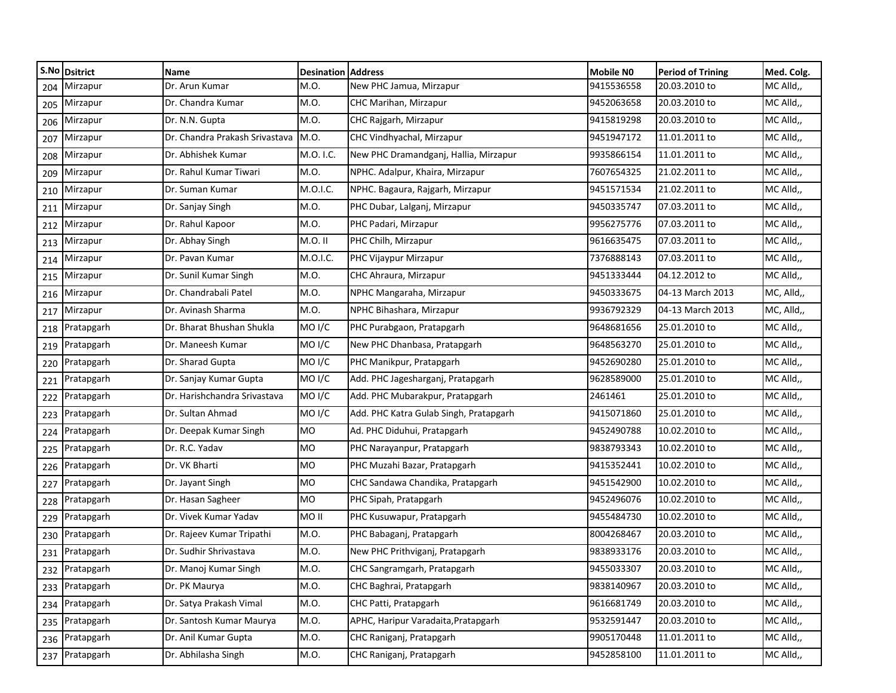|     | S.No Dsitrict  | Name                           | <b>Desination Address</b> |                                        | <b>Mobile NO</b> | <b>Period of Trining</b> | Med. Colg. |
|-----|----------------|--------------------------------|---------------------------|----------------------------------------|------------------|--------------------------|------------|
| 204 | Mirzapur       | Dr. Arun Kumar                 | M.O.                      | New PHC Jamua, Mirzapur                | 9415536558       | 20.03.2010 to            | MC Alld,,  |
| 205 | Mirzapur       | Dr. Chandra Kumar              | M.O.                      | CHC Marihan, Mirzapur                  | 9452063658       | 20.03.2010 to            | MC Alld,,  |
| 206 | Mirzapur       | Dr. N.N. Gupta                 | M.O.                      | CHC Rajgarh, Mirzapur                  | 9415819298       | 20.03.2010 to            | MC Alld,,  |
| 207 | Mirzapur       | Dr. Chandra Prakash Srivastava | M.O.                      | CHC Vindhyachal, Mirzapur              | 9451947172       | 11.01.2011 to            | MC Alld,,  |
| 208 | Mirzapur       | Dr. Abhishek Kumar             | M.O. I.C.                 | New PHC Dramandganj, Hallia, Mirzapur  | 9935866154       | 11.01.2011 to            | MC Alld,,  |
| 209 | Mirzapur       | Dr. Rahul Kumar Tiwari         | M.O.                      | NPHC. Adalpur, Khaira, Mirzapur        | 7607654325       | 21.02.2011 to            | MC Alld,,  |
| 210 | Mirzapur       | Dr. Suman Kumar                | M.O.I.C.                  | NPHC. Bagaura, Rajgarh, Mirzapur       | 9451571534       | 21.02.2011 to            | MC Alld,,  |
| 211 | Mirzapur       | Dr. Sanjay Singh               | M.O.                      | PHC Dubar, Lalganj, Mirzapur           | 9450335747       | 07.03.2011 to            | MC Alld,,  |
| 212 | Mirzapur       | Dr. Rahul Kapoor               | M.O.                      | PHC Padari, Mirzapur                   | 9956275776       | 07.03.2011 to            | MC Alld,,  |
| 213 | Mirzapur       | Dr. Abhay Singh                | M.O. II                   | PHC Chilh, Mirzapur                    | 9616635475       | 07.03.2011 to            | MC Alld,,  |
| 214 | Mirzapur       | Dr. Pavan Kumar                | M.O.I.C.                  | PHC Vijaypur Mirzapur                  | 7376888143       | 07.03.2011 to            | MC Alld,,  |
| 215 | Mirzapur       | Dr. Sunil Kumar Singh          | M.O.                      | CHC Ahraura, Mirzapur                  | 9451333444       | 04.12.2012 to            | MC Alld,,  |
| 216 | Mirzapur       | Dr. Chandrabali Patel          | M.O.                      | NPHC Mangaraha, Mirzapur               | 9450333675       | 04-13 March 2013         | MC, Alld,, |
| 217 | Mirzapur       | Dr. Avinash Sharma             | M.O.                      | NPHC Bihashara, Mirzapur               | 9936792329       | 04-13 March 2013         | MC, Alld,, |
| 218 | Pratapgarh     | Dr. Bharat Bhushan Shukla      | MO <sub>I</sub> /C        | PHC Purabgaon, Pratapgarh              | 9648681656       | 25.01.2010 to            | MC Alld,,  |
| 219 | Pratapgarh     | Dr. Maneesh Kumar              | MO <sub>I</sub> /C        | New PHC Dhanbasa, Pratapgarh           | 9648563270       | 25.01.2010 to            | MC Alld,,  |
| 220 | Pratapgarh     | Dr. Sharad Gupta               | MO <sub>I</sub> /C        | PHC Manikpur, Pratapgarh               | 9452690280       | 25.01.2010 to            | MC Alld,,  |
| 221 | Pratapgarh     | Dr. Sanjay Kumar Gupta         | MO <sub>I</sub> /C        | Add. PHC Jagesharganj, Pratapgarh      | 9628589000       | 25.01.2010 to            | MC Alld,,  |
| 222 | Pratapgarh     | Dr. Harishchandra Srivastava   | MO <sub>I</sub> /C        | Add. PHC Mubarakpur, Pratapgarh        | 2461461          | 25.01.2010 to            | MC Alld,,  |
| 223 | Pratapgarh     | Dr. Sultan Ahmad               | MO <sub>I</sub> /C        | Add. PHC Katra Gulab Singh, Pratapgarh | 9415071860       | 25.01.2010 to            | MC Alld,,  |
| 224 | Pratapgarh     | Dr. Deepak Kumar Singh         | <b>MO</b>                 | Ad. PHC Diduhui, Pratapgarh            | 9452490788       | 10.02.2010 to            | MC Alld,,  |
| 225 | Pratapgarh     | Dr. R.C. Yadav                 | <b>MO</b>                 | PHC Narayanpur, Pratapgarh             | 9838793343       | 10.02.2010 to            | MC Alld,,  |
| 226 | Pratapgarh     | Dr. VK Bharti                  | <b>MO</b>                 | PHC Muzahi Bazar, Pratapgarh           | 9415352441       | 10.02.2010 to            | MC Alld,,  |
| 227 | Pratapgarh     | Dr. Jayant Singh               | MO                        | CHC Sandawa Chandika, Pratapgarh       | 9451542900       | 10.02.2010 to            | MC Alld,,  |
| 228 | Pratapgarh     | Dr. Hasan Sagheer              | MO                        | PHC Sipah, Pratapgarh                  | 9452496076       | 10.02.2010 to            | MC Alld,,  |
| 229 | Pratapgarh     | Dr. Vivek Kumar Yadav          | MO II                     | PHC Kusuwapur, Pratapgarh              | 9455484730       | 10.02.2010 to            | MC Alld,,  |
| 230 | Pratapgarh     | Dr. Rajeev Kumar Tripathi      | M.O.                      | PHC Babaganj, Pratapgarh               | 8004268467       | 20.03.2010 to            | MC Alld,,  |
| 231 | Pratapgarh     | Dr. Sudhir Shrivastava         | M.O.                      | New PHC Prithviganj, Pratapgarh        | 9838933176       | 20.03.2010 to            | MC Alld,,  |
|     | 232 Pratapgarh | Dr. Manoj Kumar Singh          | M.O.                      | CHC Sangramgarh, Pratapgarh            | 9455033307       | 20.03.2010 to            | MC Alld,   |
|     | 233 Pratapgarh | Dr. PK Maurya                  | M.O.                      | CHC Baghrai, Pratapgarh                | 9838140967       | 20.03.2010 to            | MC Alld,,  |
| 234 | Pratapgarh     | Dr. Satya Prakash Vimal        | M.O.                      | CHC Patti, Pratapgarh                  | 9616681749       | 20.03.2010 to            | MC Alld,,  |
|     | 235 Pratapgarh | Dr. Santosh Kumar Maurya       | M.O.                      | APHC, Haripur Varadaita, Pratapgarh    | 9532591447       | 20.03.2010 to            | MC Alld,,  |
|     | 236 Pratapgarh | Dr. Anil Kumar Gupta           | M.O.                      | CHC Raniganj, Pratapgarh               | 9905170448       | 11.01.2011 to            | MC Alld,,  |
|     | 237 Pratapgarh | Dr. Abhilasha Singh            | M.O.                      | CHC Raniganj, Pratapgarh               | 9452858100       | 11.01.2011 to            | MC Alld,,  |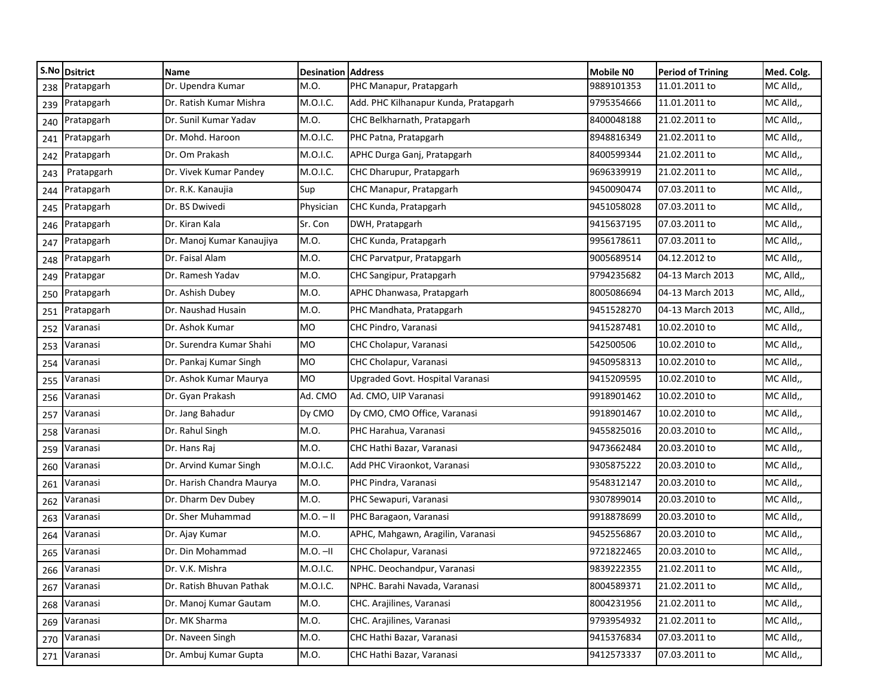|     | S.No Dsitrict | Name                      | <b>Desination Address</b> |                                       | <b>Mobile NO</b> | <b>Period of Trining</b> | Med. Colg. |
|-----|---------------|---------------------------|---------------------------|---------------------------------------|------------------|--------------------------|------------|
| 238 | Pratapgarh    | Dr. Upendra Kumar         | M.O.                      | PHC Manapur, Pratapgarh               | 9889101353       | 11.01.2011 to            | MC Alld,,  |
| 239 | Pratapgarh    | Dr. Ratish Kumar Mishra   | M.O.I.C.                  | Add. PHC Kilhanapur Kunda, Pratapgarh | 9795354666       | 11.01.2011 to            | MC Alld,,  |
| 240 | Pratapgarh    | Dr. Sunil Kumar Yadav     | M.O.                      | CHC Belkharnath, Pratapgarh           | 8400048188       | 21.02.2011 to            | MC Alld,,  |
| 241 | Pratapgarh    | Dr. Mohd. Haroon          | M.O.I.C.                  | PHC Patna, Pratapgarh                 | 8948816349       | 21.02.2011 to            | MC Alld,,  |
| 242 | Pratapgarh    | Dr. Om Prakash            | M.O.I.C.                  | APHC Durga Ganj, Pratapgarh           | 8400599344       | 21.02.2011 to            | MC Alld,,  |
| 243 | Pratapgarh    | Dr. Vivek Kumar Pandey    | M.O.I.C.                  | CHC Dharupur, Pratapgarh              | 9696339919       | 21.02.2011 to            | MC Alld,,  |
| 244 | Pratapgarh    | Dr. R.K. Kanaujia         | Sup                       | CHC Manapur, Pratapgarh               | 9450090474       | 07.03.2011 to            | MC Alld,,  |
| 245 | Pratapgarh    | Dr. BS Dwivedi            | Physician                 | CHC Kunda, Pratapgarh                 | 9451058028       | 07.03.2011 to            | MC Alld,,  |
| 246 | Pratapgarh    | Dr. Kiran Kala            | Sr. Con                   | DWH, Pratapgarh                       | 9415637195       | 07.03.2011 to            | MC Alld,,  |
| 247 | Pratapgarh    | Dr. Manoj Kumar Kanaujiya | M.O.                      | CHC Kunda, Pratapgarh                 | 9956178611       | 07.03.2011 to            | MC Alld,,  |
| 248 | Pratapgarh    | Dr. Faisal Alam           | M.O.                      | CHC Parvatpur, Pratapgarh             | 9005689514       | 04.12.2012 to            | MC Alld,,  |
| 249 | Pratapgar     | Dr. Ramesh Yadav          | M.O.                      | CHC Sangipur, Pratapgarh              | 9794235682       | 04-13 March 2013         | MC, Alld,, |
| 250 | Pratapgarh    | Dr. Ashish Dubey          | M.O.                      | APHC Dhanwasa, Pratapgarh             | 8005086694       | 04-13 March 2013         | MC, Alld,, |
| 251 | Pratapgarh    | Dr. Naushad Husain        | M.O.                      | PHC Mandhata, Pratapgarh              | 9451528270       | 04-13 March 2013         | MC, Alld,, |
| 252 | Varanasi      | Dr. Ashok Kumar           | MO                        | CHC Pindro, Varanasi                  | 9415287481       | 10.02.2010 to            | MC Alld,,  |
| 253 | Varanasi      | Dr. Surendra Kumar Shahi  | <b>MO</b>                 | CHC Cholapur, Varanasi                | 542500506        | 10.02.2010 to            | MC Alld,,  |
| 254 | Varanasi      | Dr. Pankaj Kumar Singh    | <b>MO</b>                 | CHC Cholapur, Varanasi                | 9450958313       | 10.02.2010 to            | MC Alld,,  |
| 255 | Varanasi      | Dr. Ashok Kumar Maurya    | <b>MO</b>                 | Upgraded Govt. Hospital Varanasi      | 9415209595       | 10.02.2010 to            | MC Alld,,  |
| 256 | Varanasi      | Dr. Gyan Prakash          | Ad. CMO                   | Ad. CMO, UIP Varanasi                 | 9918901462       | 10.02.2010 to            | MC Alld,,  |
| 257 | Varanasi      | Dr. Jang Bahadur          | Dy CMO                    | Dy CMO, CMO Office, Varanasi          | 9918901467       | 10.02.2010 to            | MC Alld,,  |
| 258 | Varanasi      | Dr. Rahul Singh           | M.O.                      | PHC Harahua, Varanasi                 | 9455825016       | 20.03.2010 to            | MC Alld,,  |
| 259 | Varanasi      | Dr. Hans Raj              | M.O.                      | CHC Hathi Bazar, Varanasi             | 9473662484       | 20.03.2010 to            | MC Alld,,  |
| 260 | Varanasi      | Dr. Arvind Kumar Singh    | M.O.I.C.                  | Add PHC Viraonkot, Varanasi           | 9305875222       | 20.03.2010 to            | MC Alld,,  |
| 261 | Varanasi      | Dr. Harish Chandra Maurya | M.O.                      | PHC Pindra, Varanasi                  | 9548312147       | 20.03.2010 to            | MC Alld,,  |
| 262 | Varanasi      | Dr. Dharm Dev Dubey       | M.O.                      | PHC Sewapuri, Varanasi                | 9307899014       | 20.03.2010 to            | MC Alld,,  |
| 263 | Varanasi      | Dr. Sher Muhammad         | $M.O. - II$               | PHC Baragaon, Varanasi                | 9918878699       | 20.03.2010 to            | MC Alld,,  |
| 264 | Varanasi      | Dr. Ajay Kumar            | M.O.                      | APHC, Mahgawn, Aragilin, Varanasi     | 9452556867       | 20.03.2010 to            | MC Alld,,  |
| 265 | Varanasi      | Dr. Din Mohammad          | $M.O.$ -II                | CHC Cholapur, Varanasi                | 9721822465       | 20.03.2010 to            | MC Alld,,  |
|     | 266 Varanasi  | Dr. V.K. Mishra           | M.O.I.C.                  | NPHC. Deochandpur, Varanasi           | 9839222355       | 21.02.2011 to            | MC Alld,,  |
| 267 | Varanasi      | Dr. Ratish Bhuvan Pathak  | M.O.I.C.                  | NPHC. Barahi Navada, Varanasi         | 8004589371       | 21.02.2011 to            | MC Alld,,  |
| 268 | Varanasi      | Dr. Manoj Kumar Gautam    | M.O.                      | CHC. Arajilines, Varanasi             | 8004231956       | 21.02.2011 to            | MC Alld,,  |
| 269 | Varanasi      | Dr. MK Sharma             | M.O.                      | CHC. Arajilines, Varanasi             | 9793954932       | 21.02.2011 to            | MC Alld,,  |
| 270 | Varanasi      | Dr. Naveen Singh          | M.O.                      | CHC Hathi Bazar, Varanasi             | 9415376834       | 07.03.2011 to            | MC Alld,,  |
|     | 271 Varanasi  | Dr. Ambuj Kumar Gupta     | M.O.                      | CHC Hathi Bazar, Varanasi             | 9412573337       | 07.03.2011 to            | MC Alld,,  |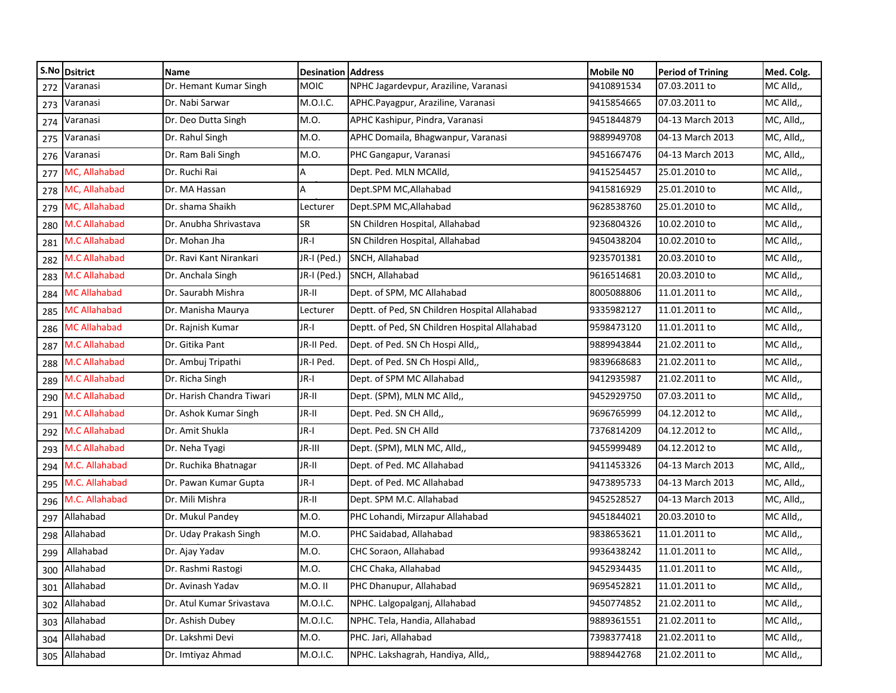|     | S.No Dsitrict        | Name                      | <b>Desination Address</b> |                                               | <b>Mobile NO</b> | <b>Period of Trining</b> | Med. Colg. |
|-----|----------------------|---------------------------|---------------------------|-----------------------------------------------|------------------|--------------------------|------------|
| 272 | Varanasi             | Dr. Hemant Kumar Singh    | <b>MOIC</b>               | NPHC Jagardevpur, Araziline, Varanasi         | 9410891534       | 07.03.2011 to            | MC Alld,,  |
| 273 | Varanasi             | Dr. Nabi Sarwar           | M.O.I.C.                  | APHC.Payagpur, Araziline, Varanasi            | 9415854665       | 07.03.2011 to            | MC Alld,,  |
| 274 | Varanasi             | Dr. Deo Dutta Singh       | M.O.                      | APHC Kashipur, Pindra, Varanasi               | 9451844879       | 04-13 March 2013         | MC, Alld,, |
| 275 | Varanasi             | Dr. Rahul Singh           | M.O.                      | APHC Domaila, Bhagwanpur, Varanasi            | 9889949708       | 04-13 March 2013         | MC, Alld,, |
| 276 | Varanasi             | Dr. Ram Bali Singh        | M.O.                      | PHC Gangapur, Varanasi                        | 9451667476       | 04-13 March 2013         | MC, Alld,, |
| 277 | MC, Allahabad        | Dr. Ruchi Rai             | A                         | Dept. Ped. MLN MCAlld,                        | 9415254457       | 25.01.2010 to            | MC Alld,,  |
| 278 | MC, Allahabad        | Dr. MA Hassan             | A                         | Dept.SPM MC, Allahabad                        | 9415816929       | 25.01.2010 to            | MC Alld,,  |
| 279 | MC, Allahabad        | Dr. shama Shaikh          | Lecturer                  | Dept.SPM MC, Allahabad                        | 9628538760       | 25.01.2010 to            | MC Alld,,  |
| 280 | M.C Allahabad        | Dr. Anubha Shrivastava    | <b>SR</b>                 | SN Children Hospital, Allahabad               | 9236804326       | 10.02.2010 to            | MC Alld,,  |
| 281 | <b>M.C Allahabad</b> | Dr. Mohan Jha             | JR-I                      | SN Children Hospital, Allahabad               | 9450438204       | 10.02.2010 to            | MC Alld,,  |
| 282 | M.C Allahabad        | Dr. Ravi Kant Nirankari   | JR-I (Ped.)               | SNCH, Allahabad                               | 9235701381       | 20.03.2010 to            | MC Alld,,  |
| 283 | <b>M.C Allahabad</b> | Dr. Anchala Singh         | JR-I (Ped.)               | SNCH, Allahabad                               | 9616514681       | 20.03.2010 to            | MC Alld,,  |
| 284 | <b>MC Allahabad</b>  | Dr. Saurabh Mishra        | JR-II                     | Dept. of SPM, MC Allahabad                    | 8005088806       | 11.01.2011 to            | MC Alld,,  |
| 285 | <b>MC Allahabad</b>  | Dr. Manisha Maurya        | Lecturer                  | Deptt. of Ped, SN Children Hospital Allahabad | 9335982127       | 11.01.2011 to            | MC Alld,,  |
| 286 | <b>MC Allahabad</b>  | Dr. Rajnish Kumar         | JR-I                      | Deptt. of Ped, SN Children Hospital Allahabad | 9598473120       | 11.01.2011 to            | MC Alld,,  |
| 287 | <b>M.C Allahabad</b> | Dr. Gitika Pant           | JR-II Ped.                | Dept. of Ped. SN Ch Hospi Alld,,              | 9889943844       | 21.02.2011 to            | MC Alld,,  |
| 288 | M.C Allahabad        | Dr. Ambuj Tripathi        | JR-I Ped.                 | Dept. of Ped. SN Ch Hospi Alld,,              | 9839668683       | 21.02.2011 to            | MC Alld,,  |
| 289 | M.C Allahabad        | Dr. Richa Singh           | JR-I                      | Dept. of SPM MC Allahabad                     | 9412935987       | 21.02.2011 to            | MC Alld,,  |
| 290 | M.C Allahabad        | Dr. Harish Chandra Tiwari | JR-II                     | Dept. (SPM), MLN MC Alld,,                    | 9452929750       | 07.03.2011 to            | MC Alld,,  |
| 291 | M.C Allahabad        | Dr. Ashok Kumar Singh     | JR-II                     | Dept. Ped. SN CH Alld,,                       | 9696765999       | 04.12.2012 to            | MC Alld,,  |
| 292 | M.C Allahabad        | Dr. Amit Shukla           | JR-I                      | Dept. Ped. SN CH Alld                         | 7376814209       | 04.12.2012 to            | MC Alld,,  |
| 293 | <b>M.C Allahabad</b> | Dr. Neha Tyagi            | JR-III                    | Dept. (SPM), MLN MC, Alld,,                   | 9455999489       | 04.12.2012 to            | MC Alld,,  |
| 294 | M.C. Allahabad       | Dr. Ruchika Bhatnagar     | JR-II                     | Dept. of Ped. MC Allahabad                    | 9411453326       | 04-13 March 2013         | MC, Alld,, |
| 295 | M.C. Allahabad       | Dr. Pawan Kumar Gupta     | JR-I                      | Dept. of Ped. MC Allahabad                    | 9473895733       | 04-13 March 2013         | MC, Alld,, |
| 296 | M.C. Allahabad       | Dr. Mili Mishra           | JR-II                     | Dept. SPM M.C. Allahabad                      | 9452528527       | 04-13 March 2013         | MC, Alld,, |
| 297 | Allahabad            | Dr. Mukul Pandey          | M.O.                      | PHC Lohandi, Mirzapur Allahabad               | 9451844021       | 20.03.2010 to            | MC Alld,,  |
| 298 | Allahabad            | Dr. Uday Prakash Singh    | M.O.                      | PHC Saidabad, Allahabad                       | 9838653621       | 11.01.2011 to            | MC Alld,,  |
| 299 | Allahabad            | Dr. Ajay Yadav            | M.O.                      | CHC Soraon, Allahabad                         | 9936438242       | 11.01.2011 to            | MC Alld,,  |
|     | 300 Allahabad        | Dr. Rashmi Rastogi        | M.O.                      | CHC Chaka, Allahabad                          | 9452934435       | 11.01.2011 to            | MC Alld,,  |
| 301 | Allahabad            | Dr. Avinash Yadav         | M.O.II                    | PHC Dhanupur, Allahabad                       | 9695452821       | 11.01.2011 to            | MC Alld,,  |
| 302 | Allahabad            | Dr. Atul Kumar Srivastava | M.O.I.C.                  | NPHC. Lalgopalganj, Allahabad                 | 9450774852       | 21.02.2011 to            | MC Alld,,  |
|     | 303 Allahabad        | Dr. Ashish Dubey          | M.O.I.C.                  | NPHC. Tela, Handia, Allahabad                 | 9889361551       | 21.02.2011 to            | MC Alld,,  |
| 304 | Allahabad            | Dr. Lakshmi Devi          | M.O.                      | PHC. Jari, Allahabad                          | 7398377418       | 21.02.2011 to            | MC Alld,,  |
|     | 305 Allahabad        | Dr. Imtiyaz Ahmad         | M.O.I.C.                  | NPHC. Lakshagrah, Handiya, Alld,,             | 9889442768       | 21.02.2011 to            | MC Alld,,  |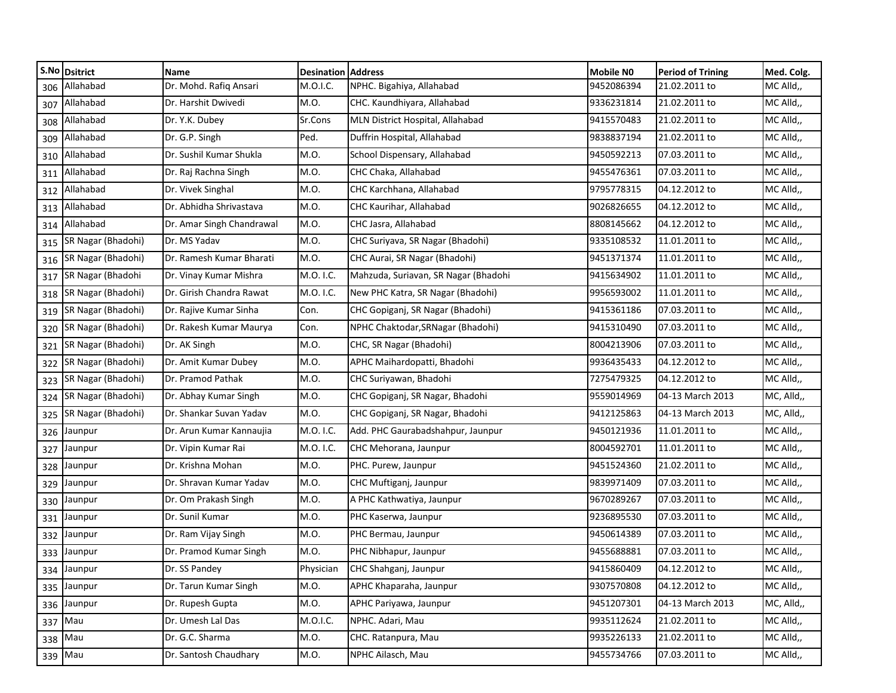|     | S.No Dsitrict      | Name                      | <b>Desination Address</b> |                                      | <b>Mobile NO</b> | <b>Period of Trining</b> | Med. Colg. |
|-----|--------------------|---------------------------|---------------------------|--------------------------------------|------------------|--------------------------|------------|
| 306 | Allahabad          | Dr. Mohd. Rafiq Ansari    | M.O.I.C.                  | NPHC. Bigahiya, Allahabad            | 9452086394       | 21.02.2011 to            | MC Alld,,  |
| 307 | Allahabad          | Dr. Harshit Dwivedi       | M.O.                      | CHC. Kaundhiyara, Allahabad          | 9336231814       | 21.02.2011 to            | MC Alld,,  |
| 308 | Allahabad          | Dr. Y.K. Dubey            | Sr.Cons                   | MLN District Hospital, Allahabad     | 9415570483       | 21.02.2011 to            | MC Alld,,  |
| 309 | Allahabad          | Dr. G.P. Singh            | Ped.                      | Duffrin Hospital, Allahabad          | 9838837194       | 21.02.2011 to            | MC Alld,,  |
| 310 | Allahabad          | Dr. Sushil Kumar Shukla   | M.O.                      | School Dispensary, Allahabad         | 9450592213       | 07.03.2011 to            | MC Alld,,  |
| 311 | Allahabad          | Dr. Raj Rachna Singh      | M.O.                      | CHC Chaka, Allahabad                 | 9455476361       | 07.03.2011 to            | MC Alld,,  |
| 312 | Allahabad          | Dr. Vivek Singhal         | M.O.                      | CHC Karchhana, Allahabad             | 9795778315       | 04.12.2012 to            | MC Alld,,  |
| 313 | Allahabad          | Dr. Abhidha Shrivastava   | M.O.                      | CHC Kaurihar, Allahabad              | 9026826655       | 04.12.2012 to            | MC Alld,,  |
| 314 | Allahabad          | Dr. Amar Singh Chandrawal | M.O.                      | CHC Jasra, Allahabad                 | 8808145662       | 04.12.2012 to            | MC Alld,,  |
| 315 | SR Nagar (Bhadohi) | Dr. MS Yadav              | M.O.                      | CHC Suriyava, SR Nagar (Bhadohi)     | 9335108532       | 11.01.2011 to            | MC Alld,,  |
| 316 | SR Nagar (Bhadohi) | Dr. Ramesh Kumar Bharati  | M.O.                      | CHC Aurai, SR Nagar (Bhadohi)        | 9451371374       | 11.01.2011 to            | MC Alld,,  |
| 317 | SR Nagar (Bhadohi  | Dr. Vinay Kumar Mishra    | M.O. I.C.                 | Mahzuda, Suriavan, SR Nagar (Bhadohi | 9415634902       | 11.01.2011 to            | MC Alld,,  |
| 318 | SR Nagar (Bhadohi) | Dr. Girish Chandra Rawat  | M.O. I.C.                 | New PHC Katra, SR Nagar (Bhadohi)    | 9956593002       | 11.01.2011 to            | MC Alld,,  |
| 319 | SR Nagar (Bhadohi) | Dr. Rajive Kumar Sinha    | Con.                      | CHC Gopiganj, SR Nagar (Bhadohi)     | 9415361186       | 07.03.2011 to            | MC Alld,,  |
| 320 | SR Nagar (Bhadohi) | Dr. Rakesh Kumar Maurya   | Con.                      | NPHC Chaktodar, SRNagar (Bhadohi)    | 9415310490       | 07.03.2011 to            | MC Alld,,  |
| 321 | SR Nagar (Bhadohi) | Dr. AK Singh              | M.O.                      | CHC, SR Nagar (Bhadohi)              | 8004213906       | 07.03.2011 to            | MC Alld,,  |
| 322 | SR Nagar (Bhadohi) | Dr. Amit Kumar Dubey      | M.O.                      | APHC Maihardopatti, Bhadohi          | 9936435433       | 04.12.2012 to            | MC Alld,,  |
| 323 | SR Nagar (Bhadohi) | Dr. Pramod Pathak         | M.O.                      | CHC Suriyawan, Bhadohi               | 7275479325       | 04.12.2012 to            | MC Alld,,  |
| 324 | SR Nagar (Bhadohi) | Dr. Abhay Kumar Singh     | M.O.                      | CHC Gopiganj, SR Nagar, Bhadohi      | 9559014969       | 04-13 March 2013         | MC, Alld,, |
| 325 | SR Nagar (Bhadohi) | Dr. Shankar Suvan Yadav   | M.O.                      | CHC Gopiganj, SR Nagar, Bhadohi      | 9412125863       | 04-13 March 2013         | MC, Alld,, |
| 326 | Jaunpur            | Dr. Arun Kumar Kannaujia  | M.O. I.C.                 | Add. PHC Gaurabadshahpur, Jaunpur    | 9450121936       | 11.01.2011 to            | MC Alld,,  |
| 327 | Jaunpur            | Dr. Vipin Kumar Rai       | M.O. I.C.                 | CHC Mehorana, Jaunpur                | 8004592701       | 11.01.2011 to            | MC Alld,,  |
| 328 | Jaunpur            | Dr. Krishna Mohan         | M.O.                      | PHC. Purew, Jaunpur                  | 9451524360       | 21.02.2011 to            | MC Alld,,  |
| 329 | Jaunpur            | Dr. Shravan Kumar Yadav   | M.O.                      | CHC Muftiganj, Jaunpur               | 9839971409       | 07.03.2011 to            | MC Alld,,  |
|     | 330 Jaunpur        | Dr. Om Prakash Singh      | M.O.                      | A PHC Kathwatiya, Jaunpur            | 9670289267       | 07.03.2011 to            | MC Alld,,  |
| 331 | Jaunpur            | Dr. Sunil Kumar           | M.O.                      | PHC Kaserwa, Jaunpur                 | 9236895530       | 07.03.2011 to            | MC Alld,,  |
| 332 | Jaunpur            | Dr. Ram Vijay Singh       | M.O.                      | PHC Bermau, Jaunpur                  | 9450614389       | 07.03.2011 to            | MC Alld,,  |
| 333 | Jaunpur            | Dr. Pramod Kumar Singh    | M.O.                      | PHC Nibhapur, Jaunpur                | 9455688881       | 07.03.2011 to            | MC Alld,,  |
|     | 334 Jaunpur        | Dr. SS Pandey             | Physician                 | CHC Shahganj, Jaunpur                | 9415860409       | 04.12.2012 to            | MC Alld,   |
|     | 335 Jaunpur        | Dr. Tarun Kumar Singh     | M.O.                      | APHC Khaparaha, Jaunpur              | 9307570808       | 04.12.2012 to            | MC Alld,,  |
|     | 336 Jaunpur        | Dr. Rupesh Gupta          | M.O.                      | APHC Pariyawa, Jaunpur               | 9451207301       | 04-13 March 2013         | MC, Alld,, |
|     | 337 Mau            | Dr. Umesh Lal Das         | M.O.I.C.                  | NPHC. Adari, Mau                     | 9935112624       | 21.02.2011 to            | MC Alld,,  |
|     | 338 Mau            | Dr. G.C. Sharma           | M.O.                      | CHC. Ratanpura, Mau                  | 9935226133       | 21.02.2011 to            | MC Alld,,  |
|     | 339 Mau            | Dr. Santosh Chaudhary     | M.O.                      | NPHC Ailasch, Mau                    | 9455734766       | 07.03.2011 to            | MC Alld,,  |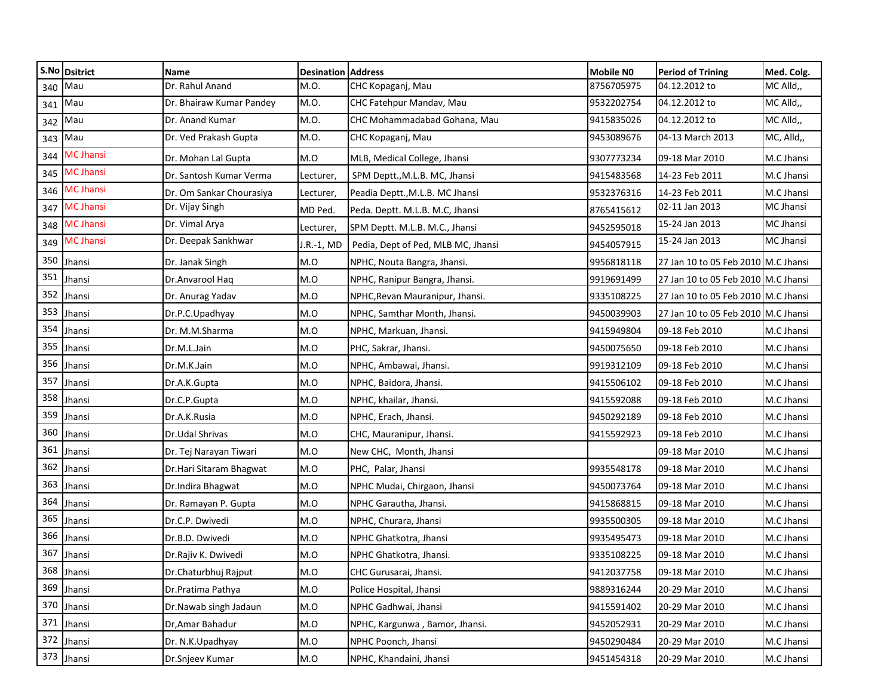|     | S.No Dsitrict    | <b>Name</b>              | <b>Desination Address</b> |                                    | <b>Mobile NO</b> | <b>Period of Trining</b>            | Med. Colg.       |
|-----|------------------|--------------------------|---------------------------|------------------------------------|------------------|-------------------------------------|------------------|
| 340 | Mau              | Dr. Rahul Anand          | M.O.                      | CHC Kopaganj, Mau                  | 8756705975       | 04.12.2012 to                       | MC Alld,,        |
| 341 | Mau              | Dr. Bhairaw Kumar Pandey | M.O.                      | CHC Fatehpur Mandav, Mau           | 9532202754       | 04.12.2012 to                       | MC Alld,,        |
| 342 | Mau              | Dr. Anand Kumar          | M.O.                      | CHC Mohammadabad Gohana, Mau       | 9415835026       | 04.12.2012 to                       | MC Alld,,        |
| 343 | Mau              | Dr. Ved Prakash Gupta    | M.O.                      | CHC Kopaganj, Mau                  | 9453089676       | 04-13 March 2013                    | MC, Alld,,       |
| 344 | <b>MC Jhansi</b> | Dr. Mohan Lal Gupta      | M.O                       | MLB, Medical College, Jhansi       | 9307773234       | 09-18 Mar 2010                      | M.C Jhansi       |
| 345 | <b>MC Jhansi</b> | Dr. Santosh Kumar Verma  | Lecturer,                 | SPM Deptt., M.L.B. MC, Jhansi      | 9415483568       | 14-23 Feb 2011                      | M.C Jhansi       |
| 346 | <b>MC Jhansi</b> | Dr. Om Sankar Chourasiya | Lecturer,                 | Peadia Deptt., M.L.B. MC Jhansi    | 9532376316       | 14-23 Feb 2011                      | M.C Jhansi       |
| 347 | <b>MC Jhansi</b> | Dr. Vijay Singh          | MD Ped.                   | Peda. Deptt. M.L.B. M.C, Jhansi    | 8765415612       | 02-11 Jan 2013                      | <b>MC Jhansi</b> |
| 348 | <b>MC Jhansi</b> | Dr. Vimal Arya           | Lecturer,                 | SPM Deptt. M.L.B. M.C., Jhansi     | 9452595018       | 15-24 Jan 2013                      | MC Jhansi        |
| 349 | <b>MC Jhansi</b> | Dr. Deepak Sankhwar      | I.R.-1, MD                | Pedia, Dept of Ped, MLB MC, Jhansi | 9454057915       | 15-24 Jan 2013                      | MC Jhansi        |
| 350 | Jhansi           | Dr. Janak Singh          | M.O                       | NPHC, Nouta Bangra, Jhansi.        | 9956818118       | 27 Jan 10 to 05 Feb 2010 M.C Jhansi |                  |
| 351 | Jhansi           | Dr.Anvarool Haq          | M.O                       | NPHC, Ranipur Bangra, Jhansi.      | 9919691499       | 27 Jan 10 to 05 Feb 2010 M.C Jhansi |                  |
| 352 | Jhansi           | Dr. Anurag Yadav         | M.O                       | NPHC, Revan Mauranipur, Jhansi.    | 9335108225       | 27 Jan 10 to 05 Feb 2010 M.C Jhansi |                  |
| 353 | Jhansi           | Dr.P.C.Upadhyay          | M.O                       | NPHC, Samthar Month, Jhansi.       | 9450039903       | 27 Jan 10 to 05 Feb 2010 M.C Jhansi |                  |
| 354 | Jhansi           | Dr. M.M.Sharma           | M.O                       | NPHC, Markuan, Jhansi.             | 9415949804       | 09-18 Feb 2010                      | M.C Jhansi       |
| 355 | Jhansi           | Dr.M.L.Jain              | M.O                       | PHC, Sakrar, Jhansi.               | 9450075650       | 09-18 Feb 2010                      | M.C Jhansi       |
| 356 | Jhansi           | Dr.M.K.Jain              | M.O                       | NPHC, Ambawai, Jhansi.             | 9919312109       | 09-18 Feb 2010                      | M.C Jhansi       |
| 357 | Jhansi           | Dr.A.K.Gupta             | M.O                       | NPHC, Baidora, Jhansi.             | 9415506102       | 09-18 Feb 2010                      | M.C Jhansi       |
| 358 | Jhansi           | Dr.C.P.Gupta             | M.O                       | NPHC, khailar, Jhansi.             | 9415592088       | 09-18 Feb 2010                      | M.C Jhansi       |
| 359 | Jhansi           | Dr.A.K.Rusia             | M.O                       | NPHC, Erach, Jhansi.               | 9450292189       | 09-18 Feb 2010                      | M.C Jhansi       |
| 360 | Jhansi           | Dr.Udal Shrivas          | M.O                       | CHC, Mauranipur, Jhansi.           | 9415592923       | 09-18 Feb 2010                      | M.C Jhansi       |
| 361 | Jhansi           | Dr. Tej Narayan Tiwari   | M.O                       | New CHC, Month, Jhansi             |                  | 09-18 Mar 2010                      | M.C Jhansi       |
| 362 | Jhansi           | Dr.Hari Sitaram Bhagwat  | M.O                       | PHC, Palar, Jhansi                 | 9935548178       | 09-18 Mar 2010                      | M.C Jhansi       |
| 363 | Jhansi           | Dr.Indira Bhagwat        | M.O                       | NPHC Mudai, Chirgaon, Jhansi       | 9450073764       | 09-18 Mar 2010                      | M.C Jhansi       |
| 364 | Jhansi           | Dr. Ramayan P. Gupta     | M.O                       | NPHC Garautha, Jhansi.             | 9415868815       | 09-18 Mar 2010                      | M.C Jhansi       |
| 365 | Jhansi           | Dr.C.P. Dwivedi          | M.O                       | NPHC, Churara, Jhansi              | 9935500305       | 09-18 Mar 2010                      | M.C Jhansi       |
| 366 | Jhansi           | Dr.B.D. Dwivedi          | M.O                       | NPHC Ghatkotra, Jhansi             | 9935495473       | 09-18 Mar 2010                      | M.C Jhansi       |
| 367 | Jhansi           | Dr.Rajiv K. Dwivedi      | M.O                       | NPHC Ghatkotra, Jhansi.            | 9335108225       | 09-18 Mar 2010                      | M.C Jhansi       |
|     | 368 Jhansi       | Dr.Chaturbhuj Rajput     | M.O                       | CHC Gurusarai, Jhansi.             | 9412037758       | 09-18 Mar 2010                      | M.C Jhansi       |
|     | 369 Jhansi       | Dr.Pratima Pathya        | M.O                       | Police Hospital, Jhansi            | 9889316244       | 20-29 Mar 2010                      | M.C Jhansi       |
|     | 370 Jhansi       | Dr. Nawab singh Jadaun   | M.O                       | NPHC Gadhwai, Jhansi               | 9415591402       | 20-29 Mar 2010                      | M.C Jhansi       |
|     | 371 Jhansi       | Dr, Amar Bahadur         | M.O                       | NPHC, Kargunwa, Bamor, Jhansi.     | 9452052931       | 20-29 Mar 2010                      | M.C Jhansi       |
| 372 | Jhansi           | Dr. N.K.Upadhyay         | M.O                       | NPHC Poonch, Jhansi                | 9450290484       | 20-29 Mar 2010                      | M.C Jhansi       |
|     | 373 Jhansi       | Dr.Snjeev Kumar          | M.O                       | NPHC, Khandaini, Jhansi            | 9451454318       | 20-29 Mar 2010                      | M.C Jhansi       |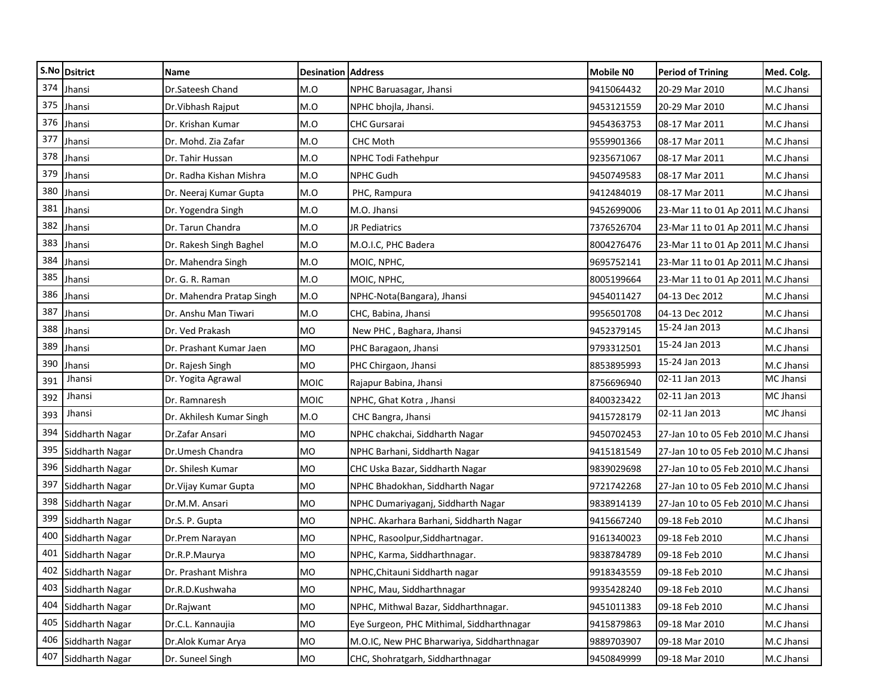|     | S.No Dsitrict       | Name                      | <b>Desination Address</b> |                                            | Mobile NO  | <b>Period of Trining</b>            | Med. Colg. |
|-----|---------------------|---------------------------|---------------------------|--------------------------------------------|------------|-------------------------------------|------------|
| 374 | Jhansi              | Dr.Sateesh Chand          | M.O                       | NPHC Baruasagar, Jhansi                    | 9415064432 | 20-29 Mar 2010                      | M.C Jhansi |
| 375 | Jhansi              | Dr. Vibhash Rajput        | M.O                       | NPHC bhojla, Jhansi.                       | 9453121559 | 20-29 Mar 2010                      | M.C Jhansi |
| 376 | Jhansi              | Dr. Krishan Kumar         | M.O                       | <b>CHC Gursarai</b>                        | 9454363753 | 08-17 Mar 2011                      | M.C Jhansi |
| 377 | Jhansi              | Dr. Mohd. Zia Zafar       | M.O                       | <b>CHC Moth</b>                            | 9559901366 | 08-17 Mar 2011                      | M.C Jhansi |
| 378 | Jhansi              | Dr. Tahir Hussan          | M.O                       | NPHC Todi Fathehpur                        | 9235671067 | 08-17 Mar 2011                      | M.C Jhansi |
| 379 | Jhansi              | Dr. Radha Kishan Mishra   | M.O                       | NPHC Gudh                                  | 9450749583 | 08-17 Mar 2011                      | M.C Jhansi |
| 380 | Jhansi              | Dr. Neeraj Kumar Gupta    | M.O                       | PHC, Rampura                               | 9412484019 | 08-17 Mar 2011                      | M.C Jhansi |
| 381 | Jhansi              | Dr. Yogendra Singh        | M.O                       | M.O. Jhansi                                | 9452699006 | 23-Mar 11 to 01 Ap 2011 M.C Jhansi  |            |
| 382 | Jhansi              | Dr. Tarun Chandra         | M.O                       | JR Pediatrics                              | 7376526704 | 23-Mar 11 to 01 Ap 2011 M.C Jhansi  |            |
| 383 | Jhansi              | Dr. Rakesh Singh Baghel   | M.O                       | M.O.I.C, PHC Badera                        | 8004276476 | 23-Mar 11 to 01 Ap 2011 M.C Jhansi  |            |
| 384 | Jhansi              | Dr. Mahendra Singh        | M.O                       | MOIC, NPHC,                                | 9695752141 | 23-Mar 11 to 01 Ap 2011 M.C Jhansi  |            |
| 385 | Jhansi              | Dr. G. R. Raman           | M.O                       | MOIC, NPHC,                                | 8005199664 | 23-Mar 11 to 01 Ap 2011 M.C Jhansi  |            |
| 386 | Jhansi              | Dr. Mahendra Pratap Singh | M.O                       | NPHC-Nota(Bangara), Jhansi                 | 9454011427 | 04-13 Dec 2012                      | M.C Jhansi |
| 387 | Jhansi              | Dr. Anshu Man Tiwari      | M.O                       | CHC, Babina, Jhansi                        | 9956501708 | 04-13 Dec 2012                      | M.C Jhansi |
| 388 | Jhansi              | Dr. Ved Prakash           | MO                        | New PHC, Baghara, Jhansi                   | 9452379145 | 15-24 Jan 2013                      | M.C Jhansi |
| 389 | Jhansi              | Dr. Prashant Kumar Jaen   | <b>MO</b>                 | PHC Baragaon, Jhansi                       | 9793312501 | 15-24 Jan 2013                      | M.C Jhansi |
| 390 | Jhansi              | Dr. Rajesh Singh          | MO                        | PHC Chirgaon, Jhansi                       | 8853895993 | 15-24 Jan 2013                      | M.C Jhansi |
| 391 | Jhansi              | Dr. Yogita Agrawal        | <b>MOIC</b>               | Rajapur Babina, Jhansi                     | 8756696940 | 02-11 Jan 2013                      | MC Jhansi  |
| 392 | Jhansi              | Dr. Ramnaresh             | <b>MOIC</b>               | NPHC, Ghat Kotra, Jhansi                   | 8400323422 | 02-11 Jan 2013                      | MC Jhansi  |
| 393 | Jhansi              | Dr. Akhilesh Kumar Singh  | M.O                       | CHC Bangra, Jhansi                         | 9415728179 | 02-11 Jan 2013                      | MC Jhansi  |
| 394 | Siddharth Nagar     | Dr.Zafar Ansari           | <b>MO</b>                 | NPHC chakchai, Siddharth Nagar             | 9450702453 | 27-Jan 10 to 05 Feb 2010 M.C Jhansi |            |
| 395 | Siddharth Nagar     | Dr.Umesh Chandra          | MO                        | NPHC Barhani, Siddharth Nagar              | 9415181549 | 27-Jan 10 to 05 Feb 2010 M.C Jhansi |            |
| 396 | Siddharth Nagar     | Dr. Shilesh Kumar         | <b>MO</b>                 | CHC Uska Bazar, Siddharth Nagar            | 9839029698 | 27-Jan 10 to 05 Feb 2010 M.C Jhansi |            |
| 397 | Siddharth Nagar     | Dr. Vijay Kumar Gupta     | MO                        | NPHC Bhadokhan, Siddharth Nagar            | 9721742268 | 27-Jan 10 to 05 Feb 2010 M.C Jhansi |            |
| 398 | Siddharth Nagar     | Dr.M.M. Ansari            | <b>MO</b>                 | NPHC Dumariyaganj, Siddharth Nagar         | 9838914139 | 27-Jan 10 to 05 Feb 2010 M.C Jhansi |            |
| 399 | Siddharth Nagar     | Dr.S. P. Gupta            | MO                        | NPHC. Akarhara Barhani, Siddharth Nagar    | 9415667240 | 09-18 Feb 2010                      | M.C Jhansi |
| 400 | Siddharth Nagar     | Dr.Prem Narayan           | MO                        | NPHC, Rasoolpur, Siddhartnagar.            | 9161340023 | 09-18 Feb 2010                      | M.C Jhansi |
| 401 | Siddharth Nagar     | Dr.R.P.Maurya             | MO                        | NPHC, Karma, Siddharthnagar.               | 9838784789 | 09-18 Feb 2010                      | M.C Jhansi |
|     | 402 Siddharth Nagar | Dr. Prashant Mishra       | <b>MO</b>                 | NPHC, Chitauni Siddharth nagar             | 9918343559 | 09-18 Feb 2010                      | M.C Jhansi |
|     | 403 Siddharth Nagar | Dr.R.D.Kushwaha           | MO                        | NPHC, Mau, Siddharthnagar                  | 9935428240 | 09-18 Feb 2010                      | M.C Jhansi |
| 404 | Siddharth Nagar     | Dr.Rajwant                | MO                        | NPHC, Mithwal Bazar, Siddharthnagar.       | 9451011383 | 09-18 Feb 2010                      | M.C Jhansi |
|     | 405 Siddharth Nagar | Dr.C.L. Kannaujia         | MO                        | Eye Surgeon, PHC Mithimal, Siddharthnagar  | 9415879863 | 09-18 Mar 2010                      | M.C Jhansi |
| 406 | Siddharth Nagar     | Dr.Alok Kumar Arya        | <b>MO</b>                 | M.O.IC, New PHC Bharwariya, Siddharthnagar | 9889703907 | 09-18 Mar 2010                      | M.C Jhansi |
|     | 407 Siddharth Nagar | Dr. Suneel Singh          | MO                        | CHC, Shohratgarh, Siddharthnagar           | 9450849999 | 09-18 Mar 2010                      | M.C Jhansi |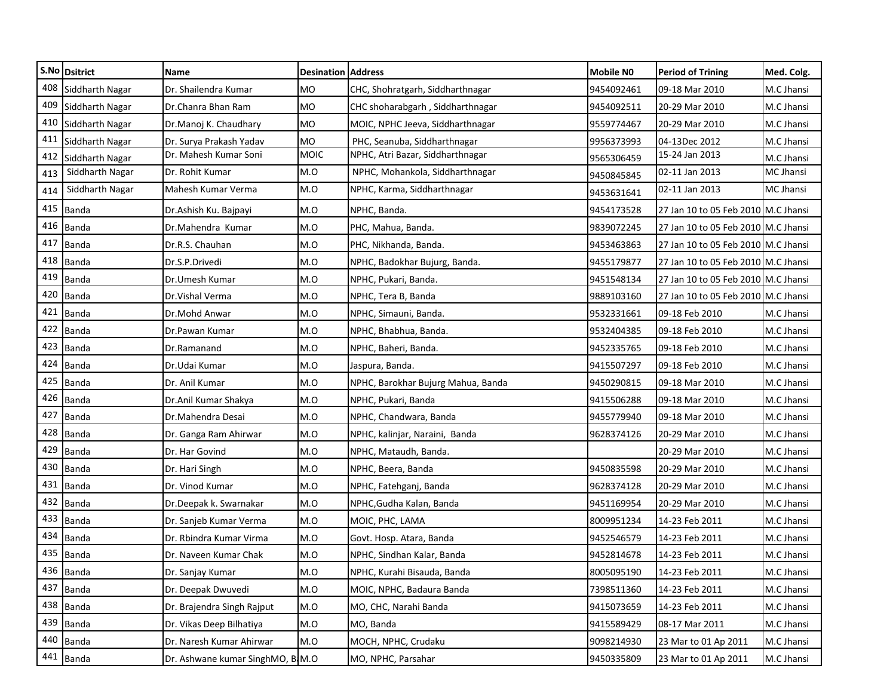|     | S.No Dsitrict   | <b>Name</b>                      | <b>Desination Address</b> |                                    | <b>Mobile NO</b> | <b>Period of Trining</b>            | Med. Colg. |
|-----|-----------------|----------------------------------|---------------------------|------------------------------------|------------------|-------------------------------------|------------|
| 408 | Siddharth Nagar | Dr. Shailendra Kumar             | MO                        | CHC, Shohratgarh, Siddharthnagar   | 9454092461       | 09-18 Mar 2010                      | M.C Jhansi |
| 409 | Siddharth Nagar | Dr.Chanra Bhan Ram               | MO                        | CHC shoharabgarh, Siddharthnagar   | 9454092511       | 20-29 Mar 2010                      | M.C Jhansi |
| 410 | Siddharth Nagar | Dr.Manoj K. Chaudhary            | MO                        | MOIC, NPHC Jeeva, Siddharthnagar   | 9559774467       | 20-29 Mar 2010                      | M.C Jhansi |
| 411 | Siddharth Nagar | Dr. Surya Prakash Yadav          | MO                        | PHC, Seanuba, Siddharthnagar       | 9956373993       | 04-13Dec 2012                       | M.C Jhansi |
| 412 | Siddharth Nagar | Dr. Mahesh Kumar Soni            | <b>MOIC</b>               | NPHC, Atri Bazar, Siddharthnagar   | 9565306459       | 15-24 Jan 2013                      | M.C Jhansi |
| 413 | Siddharth Nagar | Dr. Rohit Kumar                  | M.O                       | NPHC, Mohankola, Siddharthnagar    | 9450845845       | 02-11 Jan 2013                      | MC Jhansi  |
| 414 | Siddharth Nagar | Mahesh Kumar Verma               | M.O                       | NPHC, Karma, Siddharthnagar        | 9453631641       | 02-11 Jan 2013                      | MC Jhansi  |
| 415 | <b>Banda</b>    | Dr.Ashish Ku. Bajpayi            | M.O                       | NPHC, Banda.                       | 9454173528       | 27 Jan 10 to 05 Feb 2010 M.C Jhansi |            |
| 416 | <b>Banda</b>    | Dr.Mahendra Kumar                | M.O                       | PHC, Mahua, Banda.                 | 9839072245       | 27 Jan 10 to 05 Feb 2010 M.C Jhansi |            |
| 417 | <b>Banda</b>    | Dr.R.S. Chauhan                  | M.O                       | PHC, Nikhanda, Banda.              | 9453463863       | 27 Jan 10 to 05 Feb 2010 M.C Jhansi |            |
| 418 | <b>Banda</b>    | Dr.S.P.Drivedi                   | M.O                       | NPHC, Badokhar Bujurg, Banda.      | 9455179877       | 27 Jan 10 to 05 Feb 2010 M.C Jhansi |            |
| 419 | <b>Banda</b>    | Dr.Umesh Kumar                   | M.O                       | NPHC, Pukari, Banda.               | 9451548134       | 27 Jan 10 to 05 Feb 2010 M.C Jhansi |            |
| 420 | <b>Banda</b>    | Dr. Vishal Verma                 | M.O                       | NPHC, Tera B, Banda                | 9889103160       | 27 Jan 10 to 05 Feb 2010 M.C Jhansi |            |
| 421 | <b>Banda</b>    | Dr.Mohd Anwar                    | M.O                       | NPHC, Simauni, Banda.              | 9532331661       | 09-18 Feb 2010                      | M.C Jhansi |
| 422 | <b>Banda</b>    | Dr.Pawan Kumar                   | M.O                       | NPHC, Bhabhua, Banda.              | 9532404385       | 09-18 Feb 2010                      | M.C Jhansi |
| 423 | <b>Banda</b>    | Dr.Ramanand                      | M.O                       | NPHC, Baheri, Banda.               | 9452335765       | 09-18 Feb 2010                      | M.C Jhansi |
| 424 | <b>Banda</b>    | Dr.Udai Kumar                    | M.O                       | Jaspura, Banda.                    | 9415507297       | 09-18 Feb 2010                      | M.C Jhansi |
| 425 | <b>Banda</b>    | Dr. Anil Kumar                   | M.O                       | NPHC, Barokhar Bujurg Mahua, Banda | 9450290815       | 09-18 Mar 2010                      | M.C Jhansi |
| 426 | <b>Banda</b>    | Dr.Anil Kumar Shakya             | M.O                       | NPHC, Pukari, Banda                | 9415506288       | 09-18 Mar 2010                      | M.C Jhansi |
| 427 | <b>Banda</b>    | Dr.Mahendra Desai                | M.O                       | NPHC, Chandwara, Banda             | 9455779940       | 09-18 Mar 2010                      | M.C Jhansi |
| 428 | <b>Banda</b>    | Dr. Ganga Ram Ahirwar            | M.O                       | NPHC, kalinjar, Naraini, Banda     | 9628374126       | 20-29 Mar 2010                      | M.C Jhansi |
| 429 | <b>Banda</b>    | Dr. Har Govind                   | M.O                       | NPHC, Mataudh, Banda.              |                  | 20-29 Mar 2010                      | M.C Jhansi |
| 430 | <b>Banda</b>    | Dr. Hari Singh                   | M.O                       | NPHC, Beera, Banda                 | 9450835598       | 20-29 Mar 2010                      | M.C Jhansi |
| 431 | <b>Banda</b>    | Dr. Vinod Kumar                  | M.O                       | NPHC, Fatehganj, Banda             | 9628374128       | 20-29 Mar 2010                      | M.C Jhansi |
| 432 | <b>Banda</b>    | Dr.Deepak k. Swarnakar           | M.O                       | NPHC, Gudha Kalan, Banda           | 9451169954       | 20-29 Mar 2010                      | M.C Jhansi |
| 433 | <b>Banda</b>    | Dr. Sanjeb Kumar Verma           | M.O                       | MOIC, PHC, LAMA                    | 8009951234       | 14-23 Feb 2011                      | M.C Jhansi |
| 434 | <b>Banda</b>    | Dr. Rbindra Kumar Virma          | M.O                       | Govt. Hosp. Atara, Banda           | 9452546579       | 14-23 Feb 2011                      | M.C Jhansi |
|     | 435 Banda       | Dr. Naveen Kumar Chak            | M.O                       | NPHC, Sindhan Kalar, Banda         | 9452814678       | 14-23 Feb 2011                      | M.C Jhansi |
|     | 436 Banda       | Dr. Sanjay Kumar                 | M.O                       | NPHC, Kurahi Bisauda, Banda        | 8005095190       | 14-23 Feb 2011                      | M.C Jhansi |
| 437 | Banda           | Dr. Deepak Dwuvedi               | M.O                       | MOIC, NPHC, Badaura Banda          | 7398511360       | 14-23 Feb 2011                      | M.C Jhansi |
| 438 | <b>Banda</b>    | Dr. Brajendra Singh Rajput       | M.O                       | MO, CHC, Narahi Banda              | 9415073659       | 14-23 Feb 2011                      | M.C Jhansi |
|     | 439 Banda       | Dr. Vikas Deep Bilhatiya         | M.O                       | MO, Banda                          | 9415589429       | 08-17 Mar 2011                      | M.C Jhansi |
|     | 440 Banda       | Dr. Naresh Kumar Ahirwar         | M.O                       | MOCH, NPHC, Crudaku                | 9098214930       | 23 Mar to 01 Ap 2011                | M.C Jhansi |
|     | 441 Banda       | Dr. Ashwane kumar SinghMO, B M.O |                           | MO, NPHC, Parsahar                 | 9450335809       | 23 Mar to 01 Ap 2011                | M.C Jhansi |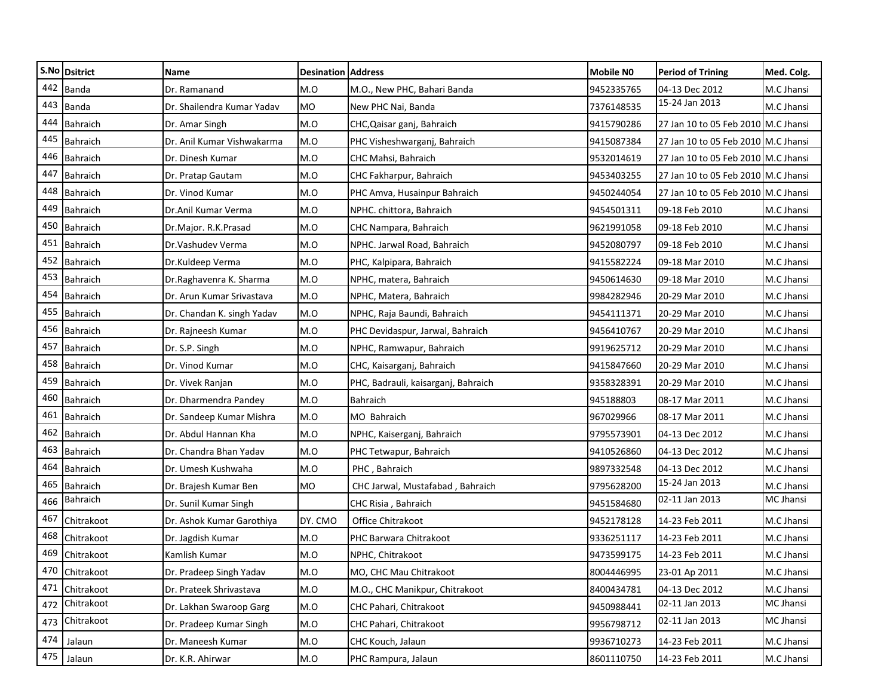|     | S.No Dsitrict   | <b>Name</b>                | <b>Desination Address</b> |                                     | <b>Mobile NO</b> | <b>Period of Trining</b>            | Med. Colg.       |
|-----|-----------------|----------------------------|---------------------------|-------------------------------------|------------------|-------------------------------------|------------------|
| 442 | <b>Banda</b>    | Dr. Ramanand               | M.O                       | M.O., New PHC, Bahari Banda         | 9452335765       | 04-13 Dec 2012                      | M.C Jhansi       |
|     | 443 Banda       | Dr. Shailendra Kumar Yadav | MO                        | New PHC Nai, Banda                  | 7376148535       | 15-24 Jan 2013                      | M.C Jhansi       |
| 444 | Bahraich        | Dr. Amar Singh             | M.O                       | CHC, Qaisar ganj, Bahraich          | 9415790286       | 27 Jan 10 to 05 Feb 2010 M.C Jhansi |                  |
| 445 | <b>Bahraich</b> | Dr. Anil Kumar Vishwakarma | M.O                       | PHC Visheshwarganj, Bahraich        | 9415087384       | 27 Jan 10 to 05 Feb 2010 M.C Jhansi |                  |
| 446 | <b>Bahraich</b> | Dr. Dinesh Kumar           | M.O                       | CHC Mahsi, Bahraich                 | 9532014619       | 27 Jan 10 to 05 Feb 2010 M.C Jhansi |                  |
| 447 | <b>Bahraich</b> | Dr. Pratap Gautam          | M.O                       | CHC Fakharpur, Bahraich             | 9453403255       | 27 Jan 10 to 05 Feb 2010 M.C Jhansi |                  |
| 448 | <b>Bahraich</b> | Dr. Vinod Kumar            | M.O                       | PHC Amva, Husainpur Bahraich        | 9450244054       | 27 Jan 10 to 05 Feb 2010 M.C Jhansi |                  |
| 449 | <b>Bahraich</b> | Dr.Anil Kumar Verma        | M.O                       | NPHC. chittora, Bahraich            | 9454501311       | 09-18 Feb 2010                      | M.C Jhansi       |
| 450 | <b>Bahraich</b> | Dr.Major. R.K.Prasad       | M.O                       | CHC Nampara, Bahraich               | 9621991058       | 09-18 Feb 2010                      | M.C Jhansi       |
| 451 | <b>Bahraich</b> | Dr.Vashudev Verma          | M.O                       | NPHC. Jarwal Road, Bahraich         | 9452080797       | 09-18 Feb 2010                      | M.C Jhansi       |
|     | 452 Bahraich    | Dr.Kuldeep Verma           | M.O                       | PHC, Kalpipara, Bahraich            | 9415582224       | 09-18 Mar 2010                      | M.C Jhansi       |
| 453 | <b>Bahraich</b> | Dr.Raghavenra K. Sharma    | M.O                       | NPHC, matera, Bahraich              | 9450614630       | 09-18 Mar 2010                      | M.C Jhansi       |
| 454 | <b>Bahraich</b> | Dr. Arun Kumar Srivastava  | M.O                       | NPHC, Matera, Bahraich              | 9984282946       | 20-29 Mar 2010                      | M.C Jhansi       |
| 455 | <b>Bahraich</b> | Dr. Chandan K. singh Yadav | M.O                       | NPHC, Raja Baundi, Bahraich         | 9454111371       | 20-29 Mar 2010                      | M.C Jhansi       |
|     | 456 Bahraich    | Dr. Rajneesh Kumar         | M.O                       | PHC Devidaspur, Jarwal, Bahraich    | 9456410767       | 20-29 Mar 2010                      | M.C Jhansi       |
| 457 | <b>Bahraich</b> | Dr. S.P. Singh             | M.O                       | NPHC, Ramwapur, Bahraich            | 9919625712       | 20-29 Mar 2010                      | M.C Jhansi       |
| 458 | <b>Bahraich</b> | Dr. Vinod Kumar            | M.O                       | CHC, Kaisarganj, Bahraich           | 9415847660       | 20-29 Mar 2010                      | M.C Jhansi       |
| 459 | <b>Bahraich</b> | Dr. Vivek Ranjan           | M.O                       | PHC, Badrauli, kaisarganj, Bahraich | 9358328391       | 20-29 Mar 2010                      | M.C Jhansi       |
| 460 | <b>Bahraich</b> | Dr. Dharmendra Pandey      | M.O                       | Bahraich                            | 945188803        | 08-17 Mar 2011                      | M.C Jhansi       |
| 461 | <b>Bahraich</b> | Dr. Sandeep Kumar Mishra   | M.O                       | MO Bahraich                         | 967029966        | 08-17 Mar 2011                      | M.C Jhansi       |
| 462 | <b>Bahraich</b> | Dr. Abdul Hannan Kha       | M.O                       | NPHC, Kaiserganj, Bahraich          | 9795573901       | 04-13 Dec 2012                      | M.C Jhansi       |
| 463 | <b>Bahraich</b> | Dr. Chandra Bhan Yadav     | M.O                       | PHC Tetwapur, Bahraich              | 9410526860       | 04-13 Dec 2012                      | M.C Jhansi       |
| 464 | <b>Bahraich</b> | Dr. Umesh Kushwaha         | M.O                       | PHC, Bahraich                       | 9897332548       | 04-13 Dec 2012                      | M.C Jhansi       |
| 465 | Bahraich        | Dr. Brajesh Kumar Ben      | <b>MO</b>                 | CHC Jarwal, Mustafabad, Bahraich    | 9795628200       | 15-24 Jan 2013                      | M.C Jhansi       |
| 466 | <b>Bahraich</b> | Dr. Sunil Kumar Singh      |                           | CHC Risia, Bahraich                 | 9451584680       | 02-11 Jan 2013                      | <b>MC Jhansi</b> |
| 467 | Chitrakoot      | Dr. Ashok Kumar Garothiya  | DY. CMO                   | Office Chitrakoot                   | 9452178128       | 14-23 Feb 2011                      | M.C Jhansi       |
| 468 | Chitrakoot      | Dr. Jagdish Kumar          | M.O                       | PHC Barwara Chitrakoot              | 9336251117       | 14-23 Feb 2011                      | M.C Jhansi       |
|     | 469 Chitrakoot  | Kamlish Kumar              | M.O                       | NPHC, Chitrakoot                    | 9473599175       | 14-23 Feb 2011                      | M.C Jhansi       |
|     | 470 Chitrakoot  | Dr. Pradeep Singh Yadav    | M.O                       | MO, CHC Mau Chitrakoot              | 8004446995       | 23-01 Ap 2011                       | M.C Jhansi       |
|     | 471 Chitrakoot  | Dr. Prateek Shrivastava    | M.O                       | M.O., CHC Manikpur, Chitrakoot      | 8400434781       | 04-13 Dec 2012                      | M.C Jhansi       |
| 472 | Chitrakoot      | Dr. Lakhan Swaroop Garg    | M.O                       | CHC Pahari, Chitrakoot              | 9450988441       | 02-11 Jan 2013                      | MC Jhansi        |
|     | 473 Chitrakoot  | Dr. Pradeep Kumar Singh    | M.O                       | CHC Pahari, Chitrakoot              | 9956798712       | 02-11 Jan 2013                      | <b>MC Jhansi</b> |
| 474 | Jalaun          | Dr. Maneesh Kumar          | M.O                       | CHC Kouch, Jalaun                   | 9936710273       | 14-23 Feb 2011                      | M.C Jhansi       |
| 475 | Jalaun          | Dr. K.R. Ahirwar           | M.O                       | PHC Rampura, Jalaun                 | 8601110750       | 14-23 Feb 2011                      | M.C Jhansi       |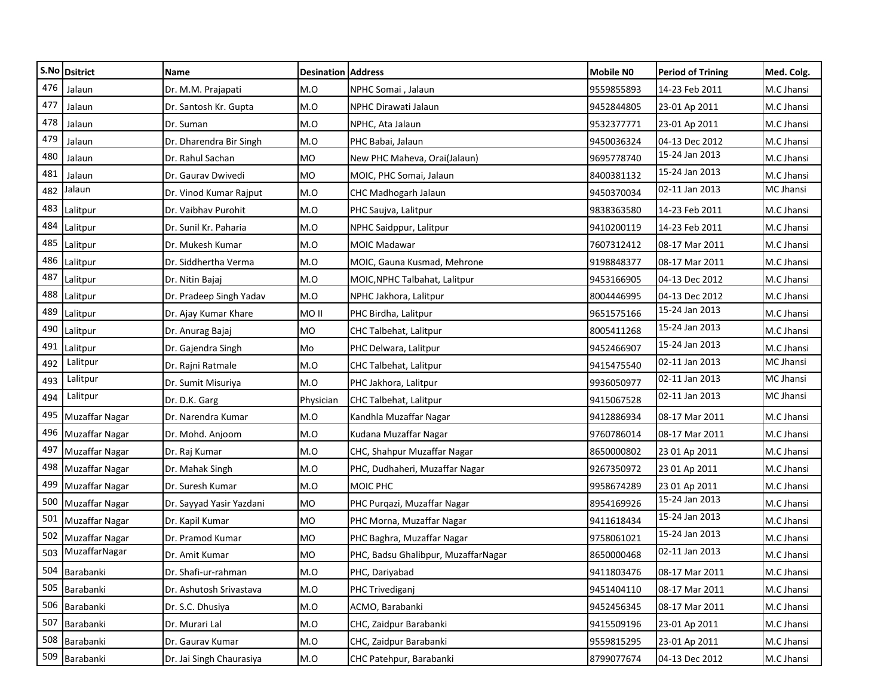|     | S.No Dsitrict         | <b>Name</b>              | <b>Desination Address</b> |                                     | <b>Mobile NO</b> | <b>Period of Trining</b> | Med. Colg.       |
|-----|-----------------------|--------------------------|---------------------------|-------------------------------------|------------------|--------------------------|------------------|
| 476 | Jalaun                | Dr. M.M. Prajapati       | M.O                       | NPHC Somai, Jalaun                  | 9559855893       | 14-23 Feb 2011           | M.C Jhansi       |
| 477 | Jalaun                | Dr. Santosh Kr. Gupta    | M.O                       | NPHC Dirawati Jalaun                | 9452844805       | 23-01 Ap 2011            | M.C Jhansi       |
| 478 | Jalaun                | Dr. Suman                | M.O                       | NPHC, Ata Jalaun                    | 9532377771       | 23-01 Ap 2011            | M.C Jhansi       |
| 479 | Jalaun                | Dr. Dharendra Bir Singh  | M.O                       | PHC Babai, Jalaun                   | 9450036324       | 04-13 Dec 2012           | M.C Jhansi       |
| 480 | Jalaun                | Dr. Rahul Sachan         | MO                        | New PHC Maheva, Orai(Jalaun)        | 9695778740       | 15-24 Jan 2013           | M.C Jhansi       |
| 481 | Jalaun                | Dr. Gaurav Dwivedi       | <b>MO</b>                 | MOIC, PHC Somai, Jalaun             | 8400381132       | 15-24 Jan 2013           | M.C Jhansi       |
| 482 | Jalaun                | Dr. Vinod Kumar Rajput   | M.O                       | CHC Madhogarh Jalaun                | 9450370034       | 02-11 Jan 2013           | <b>MC Jhansi</b> |
| 483 | Lalitpur              | Dr. Vaibhav Purohit      | M.O                       | PHC Saujva, Lalitpur                | 9838363580       | 14-23 Feb 2011           | M.C Jhansi       |
| 484 | Lalitpur              | Dr. Sunil Kr. Paharia    | M.O                       | NPHC Saidppur, Lalitpur             | 9410200119       | 14-23 Feb 2011           | M.C Jhansi       |
| 485 | Lalitpur              | Dr. Mukesh Kumar         | M.O                       | <b>MOIC Madawar</b>                 | 7607312412       | 08-17 Mar 2011           | M.C Jhansi       |
| 486 | Lalitpur              | Dr. Siddhertha Verma     | M.O                       | MOIC, Gauna Kusmad, Mehrone         | 9198848377       | 08-17 Mar 2011           | M.C Jhansi       |
| 487 | Lalitpur              | Dr. Nitin Bajaj          | M.O                       | MOIC, NPHC Talbahat, Lalitpur       | 9453166905       | 04-13 Dec 2012           | M.C Jhansi       |
| 488 | Lalitpur              | Dr. Pradeep Singh Yadav  | M.O                       | NPHC Jakhora, Lalitpur              | 8004446995       | 04-13 Dec 2012           | M.C Jhansi       |
| 489 | Lalitpur              | Dr. Ajay Kumar Khare     | MO II                     | PHC Birdha, Lalitpur                | 9651575166       | 15-24 Jan 2013           | M.C Jhansi       |
| 490 | Lalitpur              | Dr. Anurag Bajaj         | MO                        | CHC Talbehat, Lalitpur              | 8005411268       | 15-24 Jan 2013           | M.C Jhansi       |
| 491 | Lalitpur              | Dr. Gajendra Singh       | Mo                        | PHC Delwara, Lalitpur               | 9452466907       | 15-24 Jan 2013           | M.C Jhansi       |
| 492 | Lalitpur              | Dr. Rajni Ratmale        | M.O                       | CHC Talbehat, Lalitpur              | 9415475540       | 02-11 Jan 2013           | MC Jhansi        |
| 493 | Lalitpur              | Dr. Sumit Misuriya       | M.O                       | PHC Jakhora, Lalitpur               | 9936050977       | 02-11 Jan 2013           | MC Jhansi        |
| 494 | Lalitpur              | Dr. D.K. Garg            | Physician                 | CHC Talbehat, Lalitpur              | 9415067528       | 02-11 Jan 2013           | MC Jhansi        |
| 495 | Muzaffar Nagar        | Dr. Narendra Kumar       | M.O                       | Kandhla Muzaffar Nagar              | 9412886934       | 08-17 Mar 2011           | M.C Jhansi       |
| 496 | <b>Muzaffar Nagar</b> | Dr. Mohd. Anjoom         | M.O                       | Kudana Muzaffar Nagar               | 9760786014       | 08-17 Mar 2011           | M.C Jhansi       |
| 497 | <b>Muzaffar Nagar</b> | Dr. Raj Kumar            | M.O                       | CHC, Shahpur Muzaffar Nagar         | 8650000802       | 23 01 Ap 2011            | M.C Jhansi       |
| 498 | <b>Muzaffar Nagar</b> | Dr. Mahak Singh          | M.O                       | PHC, Dudhaheri, Muzaffar Nagar      | 9267350972       | 23 01 Ap 2011            | M.C Jhansi       |
| 499 | Muzaffar Nagar        | Dr. Suresh Kumar         | M.O                       | MOIC PHC                            | 9958674289       | 23 01 Ap 2011            | M.C Jhansi       |
| 500 | Muzaffar Nagar        | Dr. Sayyad Yasir Yazdani | MO                        | PHC Purqazi, Muzaffar Nagar         | 8954169926       | 15-24 Jan 2013           | M.C Jhansi       |
| 501 | <b>Muzaffar Nagar</b> | Dr. Kapil Kumar          | <b>MO</b>                 | PHC Morna, Muzaffar Nagar           | 9411618434       | 15-24 Jan 2013           | M.C Jhansi       |
| 502 | Muzaffar Nagar        | Dr. Pramod Kumar         | MO                        | PHC Baghra, Muzaffar Nagar          | 9758061021       | 15-24 Jan 2013           | M.C Jhansi       |
| 503 | MuzaffarNagar         | Dr. Amit Kumar           | <b>MO</b>                 | PHC, Badsu Ghalibpur, MuzaffarNagar | 8650000468       | 02-11 Jan 2013           | M.C Jhansi       |
|     | 504 Barabanki         | Dr. Shafi-ur-rahman      | M.O                       | PHC, Dariyabad                      | 9411803476       | 08-17 Mar 2011           | M.C Jhansi       |
|     | 505 Barabanki         | Dr. Ashutosh Srivastava  | M.O                       | PHC Trivediganj                     | 9451404110       | 08-17 Mar 2011           | M.C Jhansi       |
|     | 506 Barabanki         | Dr. S.C. Dhusiya         | M.O                       | ACMO, Barabanki                     | 9452456345       | 08-17 Mar 2011           | M.C Jhansi       |
|     | 507 Barabanki         | Dr. Murari Lal           | M.O                       | CHC, Zaidpur Barabanki              | 9415509196       | 23-01 Ap 2011            | M.C Jhansi       |
| 508 | Barabanki             | Dr. Gaurav Kumar         | $M.O$                     | CHC, Zaidpur Barabanki              | 9559815295       | 23-01 Ap 2011            | M.C Jhansi       |
|     | 509 Barabanki         | Dr. Jai Singh Chaurasiya | M.O                       | CHC Patehpur, Barabanki             | 8799077674       | 04-13 Dec 2012           | M.C Jhansi       |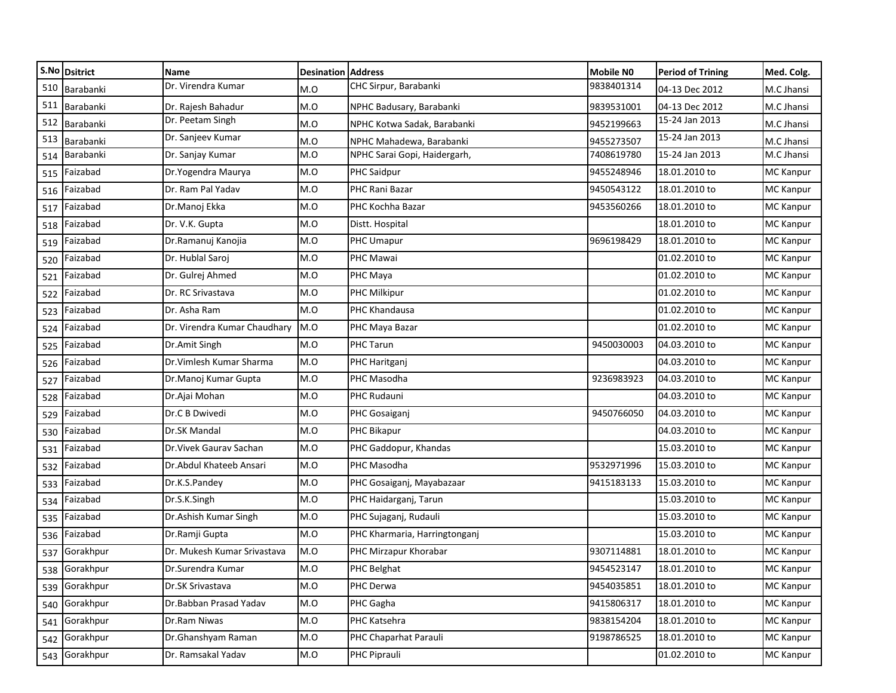|     | S.No Dsitrict | Name                         | <b>Desination Address</b> |                               | <b>Mobile NO</b> | <b>Period of Trining</b> | Med. Colg.       |
|-----|---------------|------------------------------|---------------------------|-------------------------------|------------------|--------------------------|------------------|
| 510 | Barabanki     | Dr. Virendra Kumar           | M.O                       | CHC Sirpur, Barabanki         | 9838401314       | 04-13 Dec 2012           | M.C Jhansi       |
| 511 | Barabanki     | Dr. Rajesh Bahadur           | M.O                       | NPHC Badusary, Barabanki      | 9839531001       | 04-13 Dec 2012           | M.C Jhansi       |
|     | 512 Barabanki | Dr. Peetam Singh             | M.O                       | NPHC Kotwa Sadak, Barabanki   | 9452199663       | 15-24 Jan 2013           | M.C Jhansi       |
| 513 | Barabanki     | Dr. Sanjeev Kumar            | M.O                       | NPHC Mahadewa, Barabanki      | 9455273507       | 15-24 Jan 2013           | M.C Jhansi       |
| 514 | Barabanki     | Dr. Sanjay Kumar             | M.O                       | NPHC Sarai Gopi, Haidergarh,  | 7408619780       | 15-24 Jan 2013           | M.C Jhansi       |
| 515 | Faizabad      | Dr.Yogendra Maurya           | M.O                       | PHC Saidpur                   | 9455248946       | 18.01.2010 to            | MC Kanpur        |
| 516 | Faizabad      | Dr. Ram Pal Yadav            | M.O                       | PHC Rani Bazar                | 9450543122       | 18.01.2010 to            | <b>MC Kanpur</b> |
| 517 | Faizabad      | Dr.Manoj Ekka                | M.O                       | PHC Kochha Bazar              | 9453560266       | 18.01.2010 to            | <b>MC Kanpur</b> |
| 518 | Faizabad      | Dr. V.K. Gupta               | M.O                       | Distt. Hospital               |                  | 18.01.2010 to            | <b>MC Kanpur</b> |
| 519 | Faizabad      | Dr.Ramanuj Kanojia           | M.O                       | PHC Umapur                    | 9696198429       | 18.01.2010 to            | <b>MC</b> Kanpur |
| 520 | Faizabad      | Dr. Hublal Saroj             | M.O                       | PHC Mawai                     |                  | 01.02.2010 to            | MC Kanpur        |
| 521 | Faizabad      | Dr. Gulrej Ahmed             | M.O                       | PHC Maya                      |                  | 01.02.2010 to            | MC Kanpur        |
| 522 | Faizabad      | Dr. RC Srivastava            | M.O                       | PHC Milkipur                  |                  | 01.02.2010 to            | <b>MC Kanpur</b> |
| 523 | Faizabad      | Dr. Asha Ram                 | M.O                       | PHC Khandausa                 |                  | 01.02.2010 to            | <b>MC Kanpur</b> |
| 524 | Faizabad      | Dr. Virendra Kumar Chaudhary | M.O                       | PHC Maya Bazar                |                  | 01.02.2010 to            | <b>MC Kanpur</b> |
| 525 | Faizabad      | Dr.Amit Singh                | M.O                       | PHC Tarun                     | 9450030003       | 04.03.2010 to            | MC Kanpur        |
| 526 | Faizabad      | Dr. Vimlesh Kumar Sharma     | M.O                       | PHC Haritganj                 |                  | 04.03.2010 to            | <b>MC Kanpur</b> |
| 527 | Faizabad      | Dr.Manoj Kumar Gupta         | M.O                       | PHC Masodha                   | 9236983923       | 04.03.2010 to            | <b>MC Kanpur</b> |
| 528 | Faizabad      | Dr.Ajai Mohan                | M.O                       | PHC Rudauni                   |                  | 04.03.2010 to            | <b>MC Kanpur</b> |
| 529 | Faizabad      | Dr.C B Dwivedi               | M.O                       | PHC Gosaigani                 | 9450766050       | 04.03.2010 to            | <b>MC Kanpur</b> |
| 530 | Faizabad      | Dr.SK Mandal                 | M.O                       | PHC Bikapur                   |                  | 04.03.2010 to            | MC Kanpur        |
| 531 | Faizabad      | Dr. Vivek Gaurav Sachan      | M.O                       | PHC Gaddopur, Khandas         |                  | 15.03.2010 to            | MC Kanpur        |
| 532 | Faizabad      | Dr.Abdul Khateeb Ansari      | M.O                       | PHC Masodha                   | 9532971996       | 15.03.2010 to            | <b>MC Kanpur</b> |
| 533 | Faizabad      | Dr.K.S.Pandey                | M.O                       | PHC Gosaiganj, Mayabazaar     | 9415183133       | 15.03.2010 to            | <b>MC Kanpur</b> |
| 534 | Faizabad      | Dr.S.K.Singh                 | M.O                       | PHC Haidarganj, Tarun         |                  | 15.03.2010 to            | MC Kanpur        |
| 535 | Faizabad      | Dr.Ashish Kumar Singh        | M.O                       | PHC Sujaganj, Rudauli         |                  | 15.03.2010 to            | <b>MC Kanpur</b> |
| 536 | Faizabad      | Dr.Ramji Gupta               | M.O                       | PHC Kharmaria, Harringtonganj |                  | 15.03.2010 to            | <b>MC Kanpur</b> |
| 537 | Gorakhpur     | Dr. Mukesh Kumar Srivastava  | M.O                       | PHC Mirzapur Khorabar         | 9307114881       | 18.01.2010 to            | <b>MC Kanpur</b> |
|     | 538 Gorakhpur | Dr.Surendra Kumar            | M.O                       | PHC Belghat                   | 9454523147       | 18.01.2010 to            | <b>MC Kanpur</b> |
|     | 539 Gorakhpur | Dr.SK Srivastava             | M.O                       | PHC Derwa                     | 9454035851       | 18.01.2010 to            | MC Kanpur        |
|     | 540 Gorakhpur | Dr.Babban Prasad Yadav       | M.O                       | PHC Gagha                     | 9415806317       | 18.01.2010 to            | MC Kanpur        |
|     | 541 Gorakhpur | Dr.Ram Niwas                 | M.O                       | PHC Katsehra                  | 9838154204       | 18.01.2010 to            | <b>MC Kanpur</b> |
|     | 542 Gorakhpur | Dr.Ghanshyam Raman           | M.O                       | PHC Chaparhat Parauli         | 9198786525       | 18.01.2010 to            | <b>MC Kanpur</b> |
|     | 543 Gorakhpur | Dr. Ramsakal Yadav           | M.O                       | PHC Piprauli                  |                  | 01.02.2010 to            | <b>MC Kanpur</b> |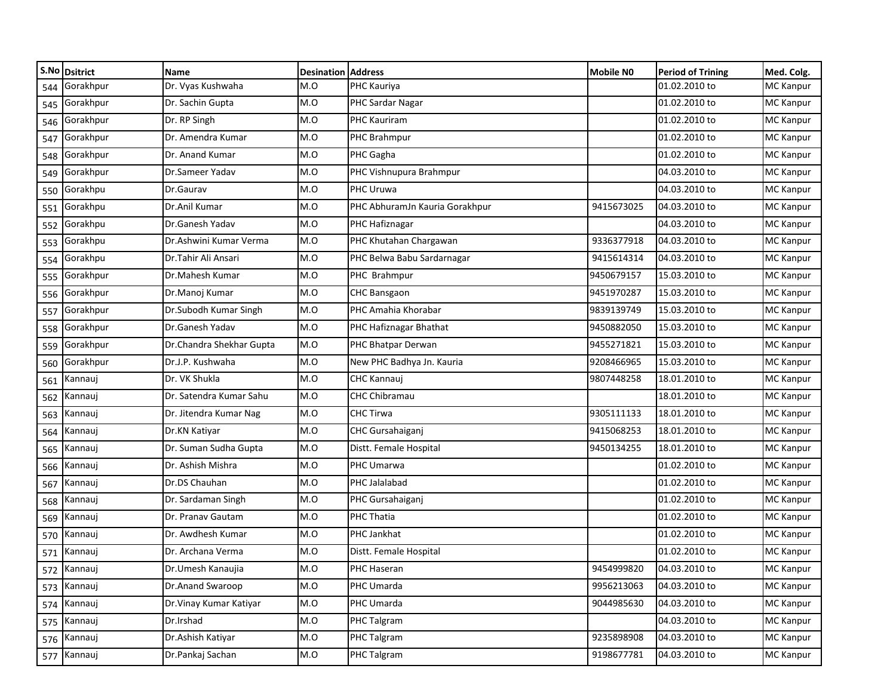| Dr. Vyas Kushwaha<br>M.O<br>01.02.2010 to<br><b>MC Kanpur</b><br>Gorakhpur<br>PHC Kauriya<br>544<br>Gorakhpur<br>Dr. Sachin Gupta<br>M.O<br>01.02.2010 to<br>PHC Sardar Nagar<br><b>MC Kanpur</b><br>545<br>Gorakhpur<br>Dr. RP Singh<br>M.O<br>PHC Kauriram<br>01.02.2010 to<br><b>MC Kanpur</b><br>546<br>Gorakhpur<br>Dr. Amendra Kumar<br>M.O<br>01.02.2010 to<br>PHC Brahmpur<br><b>MC Kanpur</b><br>547<br>Gorakhpur<br>Dr. Anand Kumar<br>M.O<br>PHC Gagha<br>01.02.2010 to<br><b>MC Kanpur</b><br>548<br>Gorakhpur<br>Dr.Sameer Yadav<br>M.O<br>PHC Vishnupura Brahmpur<br>04.03.2010 to<br>MC Kanpur<br>549<br>M.O<br>PHC Uruwa<br>04.03.2010 to<br><b>MC Kanpur</b><br>550 Gorakhpu<br>Dr.Gaurav<br>Gorakhpu<br>M.O<br>PHC AbhuramJn Kauria Gorakhpur<br>9415673025<br>04.03.2010 to<br><b>MC Kanpur</b><br>Dr.Anil Kumar<br>551<br><b>MC Kanpur</b><br>Gorakhpu<br>Dr.Ganesh Yadav<br>M.O<br>PHC Hafiznagar<br>04.03.2010 to<br>552<br>Gorakhpu<br>9336377918<br>04.03.2010 to<br><b>MC Kanpur</b><br>Dr.Ashwini Kumar Verma<br>M.O<br>PHC Khutahan Chargawan<br>553<br>Gorakhpu<br>Dr.Tahir Ali Ansari<br>M.O<br>PHC Belwa Babu Sardarnagar<br>9415614314<br>04.03.2010 to<br><b>MC Kanpur</b><br>554<br>Gorakhpur<br>Dr.Mahesh Kumar<br>M.O<br>9450679157<br>15.03.2010 to<br><b>MC Kanpur</b><br>PHC Brahmpur<br>555<br>Gorakhpur<br>Dr.Manoj Kumar<br>M.O<br>CHC Bansgaon<br>9451970287<br>15.03.2010 to<br><b>MC Kanpur</b><br>556<br>Gorakhpur<br>Dr.Subodh Kumar Singh<br>M.O<br>PHC Amahia Khorabar<br>9839139749<br>15.03.2010 to<br><b>MC Kanpur</b><br>557<br>Gorakhpur<br>Dr.Ganesh Yadav<br>M.O<br>9450882050<br>15.03.2010 to<br>MC Kanpur<br>PHC Hafiznagar Bhathat<br>558<br>Gorakhpur<br>Dr.Chandra Shekhar Gupta<br>M.O<br>PHC Bhatpar Derwan<br>9455271821<br>15.03.2010 to<br><b>MC Kanpur</b><br>559<br>Gorakhpur<br>Dr.J.P. Kushwaha<br>M.O<br>New PHC Badhya Jn. Kauria<br>9208466965<br>15.03.2010 to<br><b>MC Kanpur</b><br>560<br>Dr. VK Shukla<br>M.O<br>9807448258<br>18.01.2010 to<br><b>MC Kanpur</b><br>CHC Kannauj<br>Kannauj<br>561<br>Dr. Satendra Kumar Sahu<br>M.O<br>CHC Chibramau<br>18.01.2010 to<br><b>MC Kanpur</b><br>Kannauj<br>562<br>9305111133<br>M.O<br><b>CHC Tirwa</b><br>18.01.2010 to<br><b>MC Kanpur</b><br>Dr. Jitendra Kumar Nag<br>Kannauj<br>563<br>M.O<br>9415068253<br>18.01.2010 to<br><b>MC Kanpur</b><br>Dr.KN Katiyar<br>CHC Gursahaiganj<br>Kannauj<br>564<br>Dr. Suman Sudha Gupta<br>M.O<br>Distt. Female Hospital<br>9450134255<br>18.01.2010 to<br><b>MC Kanpur</b><br>Kannauj<br>565<br>Dr. Ashish Mishra<br>M.O<br>PHC Umarwa<br>01.02.2010 to<br><b>MC Kanpur</b><br>Kannauj<br>566<br>Dr.DS Chauhan<br>M.O<br>PHC Jalalabad<br>01.02.2010 to<br><b>MC Kanpur</b><br>Kannauj<br>567<br>M.O<br>01.02.2010 to<br><b>MC Kanpur</b><br>Dr. Sardaman Singh<br>PHC Gursahaiganj<br>Kannauj<br>568<br>Dr. Pranav Gautam<br>PHC Thatia<br>01.02.2010 to<br>M.O<br><b>MC</b> Kanpur<br>Kannauj<br>569<br>Dr. Awdhesh Kumar<br>M.O<br>PHC Jankhat<br>01.02.2010 to<br><b>MC Kanpur</b><br>Kannauj<br>570<br>M.O<br>01.02.2010 to<br>Kannauj<br>Dr. Archana Verma<br>Distt. Female Hospital<br><b>MC Kanpur</b><br>571<br>M.O<br>572 Kannauj<br><b>MC Kanpur</b><br>PHC Haseran<br>9454999820<br>04.03.2010 to<br>Dr.Umesh Kanaujia<br>573 Kannauj<br>Dr.Anand Swaroop<br>M.O<br>PHC Umarda<br>9956213063<br>04.03.2010 to<br><b>MC Kanpur</b><br>PHC Umarda<br>9044985630<br>04.03.2010 to<br>MC Kanpur<br>574 Kannauj<br>Dr. Vinay Kumar Katiyar<br>M.O<br>575 Kannauj<br>Dr.Irshad<br>M.O<br>04.03.2010 to<br><b>MC Kanpur</b><br>PHC Talgram<br>Dr.Ashish Katiyar<br>M.O<br>PHC Talgram<br>9235898908<br>04.03.2010 to<br>576 Kannauj<br><b>MC</b> Kanpur<br>577 Kannauj<br>Dr.Pankaj Sachan<br>M.O<br>PHC Talgram<br>9198677781<br>04.03.2010 to<br><b>MC Kanpur</b> | S.No Dsitrict | <b>Name</b> | <b>Desination Address</b> | <b>Mobile NO</b> | Period of Trining | Med. Colg. |
|-------------------------------------------------------------------------------------------------------------------------------------------------------------------------------------------------------------------------------------------------------------------------------------------------------------------------------------------------------------------------------------------------------------------------------------------------------------------------------------------------------------------------------------------------------------------------------------------------------------------------------------------------------------------------------------------------------------------------------------------------------------------------------------------------------------------------------------------------------------------------------------------------------------------------------------------------------------------------------------------------------------------------------------------------------------------------------------------------------------------------------------------------------------------------------------------------------------------------------------------------------------------------------------------------------------------------------------------------------------------------------------------------------------------------------------------------------------------------------------------------------------------------------------------------------------------------------------------------------------------------------------------------------------------------------------------------------------------------------------------------------------------------------------------------------------------------------------------------------------------------------------------------------------------------------------------------------------------------------------------------------------------------------------------------------------------------------------------------------------------------------------------------------------------------------------------------------------------------------------------------------------------------------------------------------------------------------------------------------------------------------------------------------------------------------------------------------------------------------------------------------------------------------------------------------------------------------------------------------------------------------------------------------------------------------------------------------------------------------------------------------------------------------------------------------------------------------------------------------------------------------------------------------------------------------------------------------------------------------------------------------------------------------------------------------------------------------------------------------------------------------------------------------------------------------------------------------------------------------------------------------------------------------------------------------------------------------------------------------------------------------------------------------------------------------------------------------------------------------------------------------------------------------------------------------------------------------------------------------------------------------------------------------------------------------------------------------------------------------------------------------------------------------------------------------------------------------------------------|---------------|-------------|---------------------------|------------------|-------------------|------------|
|                                                                                                                                                                                                                                                                                                                                                                                                                                                                                                                                                                                                                                                                                                                                                                                                                                                                                                                                                                                                                                                                                                                                                                                                                                                                                                                                                                                                                                                                                                                                                                                                                                                                                                                                                                                                                                                                                                                                                                                                                                                                                                                                                                                                                                                                                                                                                                                                                                                                                                                                                                                                                                                                                                                                                                                                                                                                                                                                                                                                                                                                                                                                                                                                                                                                                                                                                                                                                                                                                                                                                                                                                                                                                                                                                                                                                                                 |               |             |                           |                  |                   |            |
|                                                                                                                                                                                                                                                                                                                                                                                                                                                                                                                                                                                                                                                                                                                                                                                                                                                                                                                                                                                                                                                                                                                                                                                                                                                                                                                                                                                                                                                                                                                                                                                                                                                                                                                                                                                                                                                                                                                                                                                                                                                                                                                                                                                                                                                                                                                                                                                                                                                                                                                                                                                                                                                                                                                                                                                                                                                                                                                                                                                                                                                                                                                                                                                                                                                                                                                                                                                                                                                                                                                                                                                                                                                                                                                                                                                                                                                 |               |             |                           |                  |                   |            |
|                                                                                                                                                                                                                                                                                                                                                                                                                                                                                                                                                                                                                                                                                                                                                                                                                                                                                                                                                                                                                                                                                                                                                                                                                                                                                                                                                                                                                                                                                                                                                                                                                                                                                                                                                                                                                                                                                                                                                                                                                                                                                                                                                                                                                                                                                                                                                                                                                                                                                                                                                                                                                                                                                                                                                                                                                                                                                                                                                                                                                                                                                                                                                                                                                                                                                                                                                                                                                                                                                                                                                                                                                                                                                                                                                                                                                                                 |               |             |                           |                  |                   |            |
|                                                                                                                                                                                                                                                                                                                                                                                                                                                                                                                                                                                                                                                                                                                                                                                                                                                                                                                                                                                                                                                                                                                                                                                                                                                                                                                                                                                                                                                                                                                                                                                                                                                                                                                                                                                                                                                                                                                                                                                                                                                                                                                                                                                                                                                                                                                                                                                                                                                                                                                                                                                                                                                                                                                                                                                                                                                                                                                                                                                                                                                                                                                                                                                                                                                                                                                                                                                                                                                                                                                                                                                                                                                                                                                                                                                                                                                 |               |             |                           |                  |                   |            |
|                                                                                                                                                                                                                                                                                                                                                                                                                                                                                                                                                                                                                                                                                                                                                                                                                                                                                                                                                                                                                                                                                                                                                                                                                                                                                                                                                                                                                                                                                                                                                                                                                                                                                                                                                                                                                                                                                                                                                                                                                                                                                                                                                                                                                                                                                                                                                                                                                                                                                                                                                                                                                                                                                                                                                                                                                                                                                                                                                                                                                                                                                                                                                                                                                                                                                                                                                                                                                                                                                                                                                                                                                                                                                                                                                                                                                                                 |               |             |                           |                  |                   |            |
|                                                                                                                                                                                                                                                                                                                                                                                                                                                                                                                                                                                                                                                                                                                                                                                                                                                                                                                                                                                                                                                                                                                                                                                                                                                                                                                                                                                                                                                                                                                                                                                                                                                                                                                                                                                                                                                                                                                                                                                                                                                                                                                                                                                                                                                                                                                                                                                                                                                                                                                                                                                                                                                                                                                                                                                                                                                                                                                                                                                                                                                                                                                                                                                                                                                                                                                                                                                                                                                                                                                                                                                                                                                                                                                                                                                                                                                 |               |             |                           |                  |                   |            |
|                                                                                                                                                                                                                                                                                                                                                                                                                                                                                                                                                                                                                                                                                                                                                                                                                                                                                                                                                                                                                                                                                                                                                                                                                                                                                                                                                                                                                                                                                                                                                                                                                                                                                                                                                                                                                                                                                                                                                                                                                                                                                                                                                                                                                                                                                                                                                                                                                                                                                                                                                                                                                                                                                                                                                                                                                                                                                                                                                                                                                                                                                                                                                                                                                                                                                                                                                                                                                                                                                                                                                                                                                                                                                                                                                                                                                                                 |               |             |                           |                  |                   |            |
|                                                                                                                                                                                                                                                                                                                                                                                                                                                                                                                                                                                                                                                                                                                                                                                                                                                                                                                                                                                                                                                                                                                                                                                                                                                                                                                                                                                                                                                                                                                                                                                                                                                                                                                                                                                                                                                                                                                                                                                                                                                                                                                                                                                                                                                                                                                                                                                                                                                                                                                                                                                                                                                                                                                                                                                                                                                                                                                                                                                                                                                                                                                                                                                                                                                                                                                                                                                                                                                                                                                                                                                                                                                                                                                                                                                                                                                 |               |             |                           |                  |                   |            |
|                                                                                                                                                                                                                                                                                                                                                                                                                                                                                                                                                                                                                                                                                                                                                                                                                                                                                                                                                                                                                                                                                                                                                                                                                                                                                                                                                                                                                                                                                                                                                                                                                                                                                                                                                                                                                                                                                                                                                                                                                                                                                                                                                                                                                                                                                                                                                                                                                                                                                                                                                                                                                                                                                                                                                                                                                                                                                                                                                                                                                                                                                                                                                                                                                                                                                                                                                                                                                                                                                                                                                                                                                                                                                                                                                                                                                                                 |               |             |                           |                  |                   |            |
|                                                                                                                                                                                                                                                                                                                                                                                                                                                                                                                                                                                                                                                                                                                                                                                                                                                                                                                                                                                                                                                                                                                                                                                                                                                                                                                                                                                                                                                                                                                                                                                                                                                                                                                                                                                                                                                                                                                                                                                                                                                                                                                                                                                                                                                                                                                                                                                                                                                                                                                                                                                                                                                                                                                                                                                                                                                                                                                                                                                                                                                                                                                                                                                                                                                                                                                                                                                                                                                                                                                                                                                                                                                                                                                                                                                                                                                 |               |             |                           |                  |                   |            |
|                                                                                                                                                                                                                                                                                                                                                                                                                                                                                                                                                                                                                                                                                                                                                                                                                                                                                                                                                                                                                                                                                                                                                                                                                                                                                                                                                                                                                                                                                                                                                                                                                                                                                                                                                                                                                                                                                                                                                                                                                                                                                                                                                                                                                                                                                                                                                                                                                                                                                                                                                                                                                                                                                                                                                                                                                                                                                                                                                                                                                                                                                                                                                                                                                                                                                                                                                                                                                                                                                                                                                                                                                                                                                                                                                                                                                                                 |               |             |                           |                  |                   |            |
|                                                                                                                                                                                                                                                                                                                                                                                                                                                                                                                                                                                                                                                                                                                                                                                                                                                                                                                                                                                                                                                                                                                                                                                                                                                                                                                                                                                                                                                                                                                                                                                                                                                                                                                                                                                                                                                                                                                                                                                                                                                                                                                                                                                                                                                                                                                                                                                                                                                                                                                                                                                                                                                                                                                                                                                                                                                                                                                                                                                                                                                                                                                                                                                                                                                                                                                                                                                                                                                                                                                                                                                                                                                                                                                                                                                                                                                 |               |             |                           |                  |                   |            |
|                                                                                                                                                                                                                                                                                                                                                                                                                                                                                                                                                                                                                                                                                                                                                                                                                                                                                                                                                                                                                                                                                                                                                                                                                                                                                                                                                                                                                                                                                                                                                                                                                                                                                                                                                                                                                                                                                                                                                                                                                                                                                                                                                                                                                                                                                                                                                                                                                                                                                                                                                                                                                                                                                                                                                                                                                                                                                                                                                                                                                                                                                                                                                                                                                                                                                                                                                                                                                                                                                                                                                                                                                                                                                                                                                                                                                                                 |               |             |                           |                  |                   |            |
|                                                                                                                                                                                                                                                                                                                                                                                                                                                                                                                                                                                                                                                                                                                                                                                                                                                                                                                                                                                                                                                                                                                                                                                                                                                                                                                                                                                                                                                                                                                                                                                                                                                                                                                                                                                                                                                                                                                                                                                                                                                                                                                                                                                                                                                                                                                                                                                                                                                                                                                                                                                                                                                                                                                                                                                                                                                                                                                                                                                                                                                                                                                                                                                                                                                                                                                                                                                                                                                                                                                                                                                                                                                                                                                                                                                                                                                 |               |             |                           |                  |                   |            |
|                                                                                                                                                                                                                                                                                                                                                                                                                                                                                                                                                                                                                                                                                                                                                                                                                                                                                                                                                                                                                                                                                                                                                                                                                                                                                                                                                                                                                                                                                                                                                                                                                                                                                                                                                                                                                                                                                                                                                                                                                                                                                                                                                                                                                                                                                                                                                                                                                                                                                                                                                                                                                                                                                                                                                                                                                                                                                                                                                                                                                                                                                                                                                                                                                                                                                                                                                                                                                                                                                                                                                                                                                                                                                                                                                                                                                                                 |               |             |                           |                  |                   |            |
|                                                                                                                                                                                                                                                                                                                                                                                                                                                                                                                                                                                                                                                                                                                                                                                                                                                                                                                                                                                                                                                                                                                                                                                                                                                                                                                                                                                                                                                                                                                                                                                                                                                                                                                                                                                                                                                                                                                                                                                                                                                                                                                                                                                                                                                                                                                                                                                                                                                                                                                                                                                                                                                                                                                                                                                                                                                                                                                                                                                                                                                                                                                                                                                                                                                                                                                                                                                                                                                                                                                                                                                                                                                                                                                                                                                                                                                 |               |             |                           |                  |                   |            |
|                                                                                                                                                                                                                                                                                                                                                                                                                                                                                                                                                                                                                                                                                                                                                                                                                                                                                                                                                                                                                                                                                                                                                                                                                                                                                                                                                                                                                                                                                                                                                                                                                                                                                                                                                                                                                                                                                                                                                                                                                                                                                                                                                                                                                                                                                                                                                                                                                                                                                                                                                                                                                                                                                                                                                                                                                                                                                                                                                                                                                                                                                                                                                                                                                                                                                                                                                                                                                                                                                                                                                                                                                                                                                                                                                                                                                                                 |               |             |                           |                  |                   |            |
|                                                                                                                                                                                                                                                                                                                                                                                                                                                                                                                                                                                                                                                                                                                                                                                                                                                                                                                                                                                                                                                                                                                                                                                                                                                                                                                                                                                                                                                                                                                                                                                                                                                                                                                                                                                                                                                                                                                                                                                                                                                                                                                                                                                                                                                                                                                                                                                                                                                                                                                                                                                                                                                                                                                                                                                                                                                                                                                                                                                                                                                                                                                                                                                                                                                                                                                                                                                                                                                                                                                                                                                                                                                                                                                                                                                                                                                 |               |             |                           |                  |                   |            |
|                                                                                                                                                                                                                                                                                                                                                                                                                                                                                                                                                                                                                                                                                                                                                                                                                                                                                                                                                                                                                                                                                                                                                                                                                                                                                                                                                                                                                                                                                                                                                                                                                                                                                                                                                                                                                                                                                                                                                                                                                                                                                                                                                                                                                                                                                                                                                                                                                                                                                                                                                                                                                                                                                                                                                                                                                                                                                                                                                                                                                                                                                                                                                                                                                                                                                                                                                                                                                                                                                                                                                                                                                                                                                                                                                                                                                                                 |               |             |                           |                  |                   |            |
|                                                                                                                                                                                                                                                                                                                                                                                                                                                                                                                                                                                                                                                                                                                                                                                                                                                                                                                                                                                                                                                                                                                                                                                                                                                                                                                                                                                                                                                                                                                                                                                                                                                                                                                                                                                                                                                                                                                                                                                                                                                                                                                                                                                                                                                                                                                                                                                                                                                                                                                                                                                                                                                                                                                                                                                                                                                                                                                                                                                                                                                                                                                                                                                                                                                                                                                                                                                                                                                                                                                                                                                                                                                                                                                                                                                                                                                 |               |             |                           |                  |                   |            |
|                                                                                                                                                                                                                                                                                                                                                                                                                                                                                                                                                                                                                                                                                                                                                                                                                                                                                                                                                                                                                                                                                                                                                                                                                                                                                                                                                                                                                                                                                                                                                                                                                                                                                                                                                                                                                                                                                                                                                                                                                                                                                                                                                                                                                                                                                                                                                                                                                                                                                                                                                                                                                                                                                                                                                                                                                                                                                                                                                                                                                                                                                                                                                                                                                                                                                                                                                                                                                                                                                                                                                                                                                                                                                                                                                                                                                                                 |               |             |                           |                  |                   |            |
|                                                                                                                                                                                                                                                                                                                                                                                                                                                                                                                                                                                                                                                                                                                                                                                                                                                                                                                                                                                                                                                                                                                                                                                                                                                                                                                                                                                                                                                                                                                                                                                                                                                                                                                                                                                                                                                                                                                                                                                                                                                                                                                                                                                                                                                                                                                                                                                                                                                                                                                                                                                                                                                                                                                                                                                                                                                                                                                                                                                                                                                                                                                                                                                                                                                                                                                                                                                                                                                                                                                                                                                                                                                                                                                                                                                                                                                 |               |             |                           |                  |                   |            |
|                                                                                                                                                                                                                                                                                                                                                                                                                                                                                                                                                                                                                                                                                                                                                                                                                                                                                                                                                                                                                                                                                                                                                                                                                                                                                                                                                                                                                                                                                                                                                                                                                                                                                                                                                                                                                                                                                                                                                                                                                                                                                                                                                                                                                                                                                                                                                                                                                                                                                                                                                                                                                                                                                                                                                                                                                                                                                                                                                                                                                                                                                                                                                                                                                                                                                                                                                                                                                                                                                                                                                                                                                                                                                                                                                                                                                                                 |               |             |                           |                  |                   |            |
|                                                                                                                                                                                                                                                                                                                                                                                                                                                                                                                                                                                                                                                                                                                                                                                                                                                                                                                                                                                                                                                                                                                                                                                                                                                                                                                                                                                                                                                                                                                                                                                                                                                                                                                                                                                                                                                                                                                                                                                                                                                                                                                                                                                                                                                                                                                                                                                                                                                                                                                                                                                                                                                                                                                                                                                                                                                                                                                                                                                                                                                                                                                                                                                                                                                                                                                                                                                                                                                                                                                                                                                                                                                                                                                                                                                                                                                 |               |             |                           |                  |                   |            |
|                                                                                                                                                                                                                                                                                                                                                                                                                                                                                                                                                                                                                                                                                                                                                                                                                                                                                                                                                                                                                                                                                                                                                                                                                                                                                                                                                                                                                                                                                                                                                                                                                                                                                                                                                                                                                                                                                                                                                                                                                                                                                                                                                                                                                                                                                                                                                                                                                                                                                                                                                                                                                                                                                                                                                                                                                                                                                                                                                                                                                                                                                                                                                                                                                                                                                                                                                                                                                                                                                                                                                                                                                                                                                                                                                                                                                                                 |               |             |                           |                  |                   |            |
|                                                                                                                                                                                                                                                                                                                                                                                                                                                                                                                                                                                                                                                                                                                                                                                                                                                                                                                                                                                                                                                                                                                                                                                                                                                                                                                                                                                                                                                                                                                                                                                                                                                                                                                                                                                                                                                                                                                                                                                                                                                                                                                                                                                                                                                                                                                                                                                                                                                                                                                                                                                                                                                                                                                                                                                                                                                                                                                                                                                                                                                                                                                                                                                                                                                                                                                                                                                                                                                                                                                                                                                                                                                                                                                                                                                                                                                 |               |             |                           |                  |                   |            |
|                                                                                                                                                                                                                                                                                                                                                                                                                                                                                                                                                                                                                                                                                                                                                                                                                                                                                                                                                                                                                                                                                                                                                                                                                                                                                                                                                                                                                                                                                                                                                                                                                                                                                                                                                                                                                                                                                                                                                                                                                                                                                                                                                                                                                                                                                                                                                                                                                                                                                                                                                                                                                                                                                                                                                                                                                                                                                                                                                                                                                                                                                                                                                                                                                                                                                                                                                                                                                                                                                                                                                                                                                                                                                                                                                                                                                                                 |               |             |                           |                  |                   |            |
|                                                                                                                                                                                                                                                                                                                                                                                                                                                                                                                                                                                                                                                                                                                                                                                                                                                                                                                                                                                                                                                                                                                                                                                                                                                                                                                                                                                                                                                                                                                                                                                                                                                                                                                                                                                                                                                                                                                                                                                                                                                                                                                                                                                                                                                                                                                                                                                                                                                                                                                                                                                                                                                                                                                                                                                                                                                                                                                                                                                                                                                                                                                                                                                                                                                                                                                                                                                                                                                                                                                                                                                                                                                                                                                                                                                                                                                 |               |             |                           |                  |                   |            |
|                                                                                                                                                                                                                                                                                                                                                                                                                                                                                                                                                                                                                                                                                                                                                                                                                                                                                                                                                                                                                                                                                                                                                                                                                                                                                                                                                                                                                                                                                                                                                                                                                                                                                                                                                                                                                                                                                                                                                                                                                                                                                                                                                                                                                                                                                                                                                                                                                                                                                                                                                                                                                                                                                                                                                                                                                                                                                                                                                                                                                                                                                                                                                                                                                                                                                                                                                                                                                                                                                                                                                                                                                                                                                                                                                                                                                                                 |               |             |                           |                  |                   |            |
|                                                                                                                                                                                                                                                                                                                                                                                                                                                                                                                                                                                                                                                                                                                                                                                                                                                                                                                                                                                                                                                                                                                                                                                                                                                                                                                                                                                                                                                                                                                                                                                                                                                                                                                                                                                                                                                                                                                                                                                                                                                                                                                                                                                                                                                                                                                                                                                                                                                                                                                                                                                                                                                                                                                                                                                                                                                                                                                                                                                                                                                                                                                                                                                                                                                                                                                                                                                                                                                                                                                                                                                                                                                                                                                                                                                                                                                 |               |             |                           |                  |                   |            |
|                                                                                                                                                                                                                                                                                                                                                                                                                                                                                                                                                                                                                                                                                                                                                                                                                                                                                                                                                                                                                                                                                                                                                                                                                                                                                                                                                                                                                                                                                                                                                                                                                                                                                                                                                                                                                                                                                                                                                                                                                                                                                                                                                                                                                                                                                                                                                                                                                                                                                                                                                                                                                                                                                                                                                                                                                                                                                                                                                                                                                                                                                                                                                                                                                                                                                                                                                                                                                                                                                                                                                                                                                                                                                                                                                                                                                                                 |               |             |                           |                  |                   |            |
|                                                                                                                                                                                                                                                                                                                                                                                                                                                                                                                                                                                                                                                                                                                                                                                                                                                                                                                                                                                                                                                                                                                                                                                                                                                                                                                                                                                                                                                                                                                                                                                                                                                                                                                                                                                                                                                                                                                                                                                                                                                                                                                                                                                                                                                                                                                                                                                                                                                                                                                                                                                                                                                                                                                                                                                                                                                                                                                                                                                                                                                                                                                                                                                                                                                                                                                                                                                                                                                                                                                                                                                                                                                                                                                                                                                                                                                 |               |             |                           |                  |                   |            |
|                                                                                                                                                                                                                                                                                                                                                                                                                                                                                                                                                                                                                                                                                                                                                                                                                                                                                                                                                                                                                                                                                                                                                                                                                                                                                                                                                                                                                                                                                                                                                                                                                                                                                                                                                                                                                                                                                                                                                                                                                                                                                                                                                                                                                                                                                                                                                                                                                                                                                                                                                                                                                                                                                                                                                                                                                                                                                                                                                                                                                                                                                                                                                                                                                                                                                                                                                                                                                                                                                                                                                                                                                                                                                                                                                                                                                                                 |               |             |                           |                  |                   |            |
|                                                                                                                                                                                                                                                                                                                                                                                                                                                                                                                                                                                                                                                                                                                                                                                                                                                                                                                                                                                                                                                                                                                                                                                                                                                                                                                                                                                                                                                                                                                                                                                                                                                                                                                                                                                                                                                                                                                                                                                                                                                                                                                                                                                                                                                                                                                                                                                                                                                                                                                                                                                                                                                                                                                                                                                                                                                                                                                                                                                                                                                                                                                                                                                                                                                                                                                                                                                                                                                                                                                                                                                                                                                                                                                                                                                                                                                 |               |             |                           |                  |                   |            |